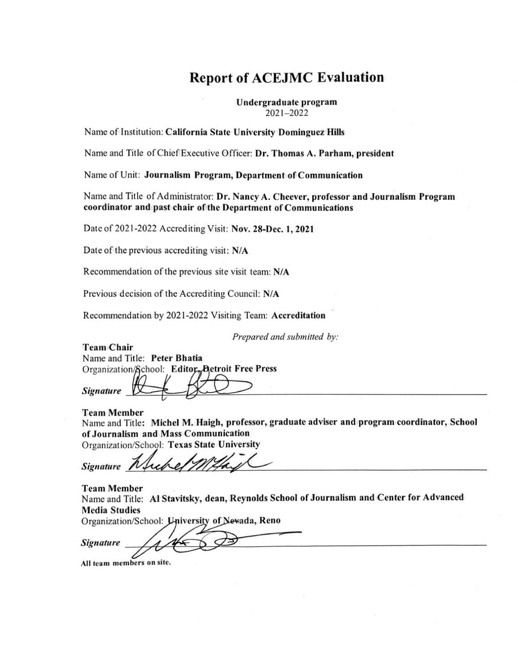# **Report of ACEJMC Evaluation**

Undergraduate program 2021-2022

Name of Institution: California State University Dominguez Hills

Name and Title of Chief Executive Officer: Dr. Thomas A. Parham, president

Name of Unit: Journalism Program, Department of Communication

Name and Title of Administrator: Dr. Nancy A. Cheever, professor and Journalism Program coordinator and past chair of the Department of Communications

Date of 2021-2022 Accrediting Visit: Nov. 28-Dec. 1, 2021

Date of the previous accrediting visit: N/A

Recommendation of the previous site visit team: N/A

Previous decision of the Accrediting Council: N/A

Recommendation by 2021-2022 Visiting Team: Accreditation

Prepared and submitted by:

**Team Chair** Name and Title: Peter Bhatia Organization/School: Editor, Detroit Free Press

**Signature** 

**Team Member** Name and Title: Michel M. Haigh, professor, graduate adviser and program coordinator, School of Journalism and Mass Communication Organization/School: Texas State University

**Signature** 

**Team Member** 

Name and Title: Al Stavitsky, dean, Reynolds School of Journalism and Center for Advanced **Media Studies** 

Organization/School: University of Newada, Reno

**Signature** 

All team members on site.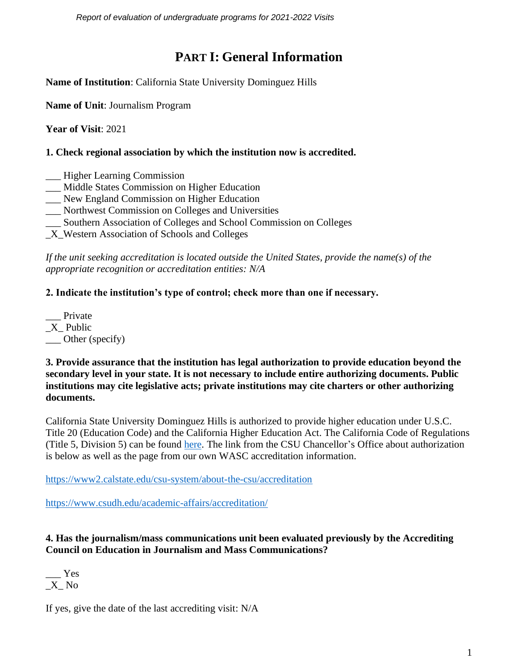*Report of evaluation of undergraduate programs for 2021-2022 Visits* 

# **PART I: General Information**

**Name of Institution**: California State University Dominguez Hills

**Name of Unit**: Journalism Program

**Year of Visit**: 2021

#### **1. Check regional association by which the institution now is accredited.**

- \_\_\_ Higher Learning Commission
- \_\_\_ Middle States Commission on Higher Education
- \_\_\_ New England Commission on Higher Education
- \_\_\_ Northwest Commission on Colleges and Universities
- \_\_\_ Southern Association of Colleges and School Commission on Colleges
- \_X\_Western Association of Schools and Colleges

*If the unit seeking accreditation is located outside the United States, provide the name(s) of the appropriate recognition or accreditation entities: N/A*

#### **2. Indicate the institution's type of control; check more than one if necessary.**

Private \_X\_ Public \_\_\_ Other (specify)

**3. Provide assurance that the institution has legal authorization to provide education beyond the secondary level in your state. It is not necessary to include entire authorizing documents. Public institutions may cite legislative acts; private institutions may cite charters or other authorizing documents.**

California State University Dominguez Hills is authorized to provide higher education under U.S.C. Title 20 (Education Code) and the California Higher Education Act. The California Code of Regulations (Title 5, Division 5) can be found [here.](https://govt.westlaw.com/calregs/Index?transitionType=Default&contextData=%28sc.Default%29) The link from the CSU Chancellor's Office about authorization is below as well as the page from our own WASC accreditation information.

<https://www2.calstate.edu/csu-system/about-the-csu/accreditation>

<https://www.csudh.edu/academic-affairs/accreditation/>

#### **4. Has the journalism/mass communications unit been evaluated previously by the Accrediting Council on Education in Journalism and Mass Communications?**

\_\_\_ Yes \_X\_ No

If yes, give the date of the last accrediting visit: N/A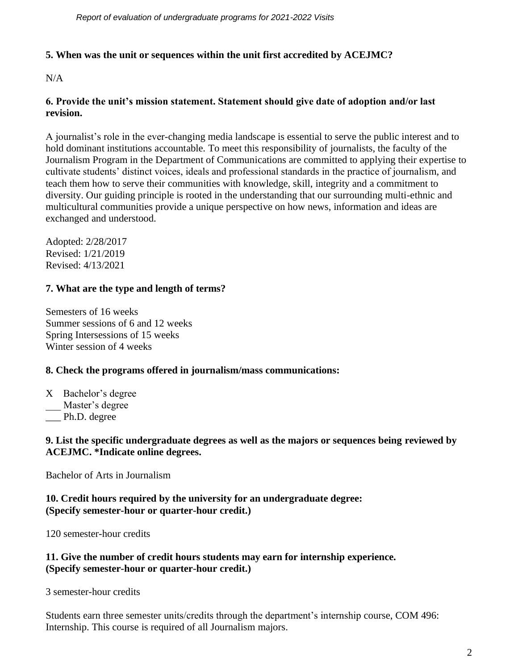## **5. When was the unit or sequences within the unit first accredited by ACEJMC?**

N/A

## **6. Provide the unit's mission statement. Statement should give date of adoption and/or last revision.**

A journalist's role in the ever-changing media landscape is essential to serve the public interest and to hold dominant institutions accountable. To meet this responsibility of journalists, the faculty of the Journalism Program in the Department of Communications are committed to applying their expertise to cultivate students' distinct voices, ideals and professional standards in the practice of journalism, and teach them how to serve their communities with knowledge, skill, integrity and a commitment to diversity. Our guiding principle is rooted in the understanding that our surrounding multi-ethnic and multicultural communities provide a unique perspective on how news, information and ideas are exchanged and understood.

Adopted: 2/28/2017 Revised: 1/21/2019 Revised: 4/13/2021

# **7. What are the type and length of terms?**

Semesters of 16 weeks Summer sessions of 6 and 12 weeks Spring Intersessions of 15 weeks Winter session of 4 weeks

#### **8. Check the programs offered in journalism/mass communications:**

X Bachelor's degree

Master's degree

Ph.D. degree

#### **9. List the specific undergraduate degrees as well as the majors or sequences being reviewed by ACEJMC. \*Indicate online degrees.**

Bachelor of Arts in Journalism

#### **10. Credit hours required by the university for an undergraduate degree: (Specify semester-hour or quarter-hour credit.)**

120 semester-hour credits

## **11. Give the number of credit hours students may earn for internship experience. (Specify semester-hour or quarter-hour credit.)**

3 semester-hour credits

Students earn three semester units/credits through the department's internship course, COM 496: Internship. This course is required of all Journalism majors.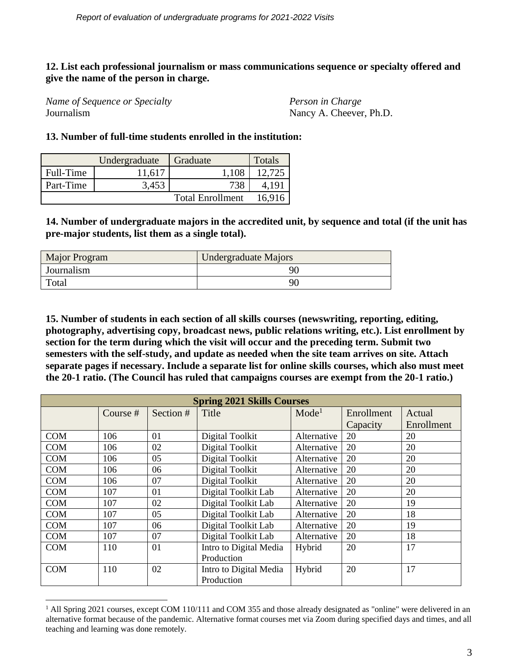#### **12. List each professional journalism or mass communications sequence or specialty offered and give the name of the person in charge.**

*Name of Sequence or Specialty Person in Charge* Journalism Nancy A. Cheever, Ph.D.

#### **13. Number of full-time students enrolled in the institution:**

|           | Undergraduate | Graduate                | <b>Totals</b> |
|-----------|---------------|-------------------------|---------------|
| Full-Time | 11,617        | 1,108                   | 12,725        |
| Part-Time | 3,453         | 738                     | 4.191         |
|           |               | <b>Total Enrollment</b> | 16.916        |

**14. Number of undergraduate majors in the accredited unit, by sequence and total (if the unit has pre-major students, list them as a single total).** 

| Major Program | Undergraduate Majors |
|---------------|----------------------|
| Journalism    | 91                   |
| Total         | 90                   |

**15. Number of students in each section of all skills courses (newswriting, reporting, editing, photography, advertising copy, broadcast news, public relations writing, etc.). List enrollment by section for the term during which the visit will occur and the preceding term. Submit two semesters with the self-study, and update as needed when the site team arrives on site. Attach separate pages if necessary. Include a separate list for online skills courses, which also must meet the 20-1 ratio. (The Council has ruled that campaigns courses are exempt from the 20-1 ratio.)**

| <b>Spring 2021 Skills Courses</b> |          |           |                        |                                 |          |            |  |
|-----------------------------------|----------|-----------|------------------------|---------------------------------|----------|------------|--|
|                                   | Course # | Section # | Title                  | Mode <sup>1</sup><br>Enrollment |          | Actual     |  |
|                                   |          |           |                        |                                 | Capacity | Enrollment |  |
| <b>COM</b>                        | 106      | 01        | Digital Toolkit        | Alternative                     | 20       | 20         |  |
| <b>COM</b>                        | 106      | 02        | Digital Toolkit        | Alternative                     | 20       | 20         |  |
| <b>COM</b>                        | 106      | 05        | Digital Toolkit        | Alternative                     | 20       | 20         |  |
| <b>COM</b>                        | 106      | 06        | Digital Toolkit        | Alternative                     | 20       | 20         |  |
| COM                               | 106      | 07        | Digital Toolkit        | Alternative                     | 20       | 20         |  |
| <b>COM</b>                        | 107      | 01        | Digital Toolkit Lab    | Alternative                     | 20       | 20         |  |
| <b>COM</b>                        | 107      | 02        | Digital Toolkit Lab    | Alternative                     | 20       | 19         |  |
| <b>COM</b>                        | 107      | 05        | Digital Toolkit Lab    | Alternative                     | 20       | 18         |  |
| <b>COM</b>                        | 107      | 06        | Digital Toolkit Lab    | Alternative                     | 20       | 19         |  |
| <b>COM</b>                        | 107      | 07        | Digital Toolkit Lab    | Alternative                     | 20       | 18         |  |
| <b>COM</b>                        | 110      | 01        | Intro to Digital Media | Hybrid                          | 20       | 17         |  |
|                                   |          |           | Production             |                                 |          |            |  |
| <b>COM</b>                        | 110      | 02        | Intro to Digital Media | Hybrid                          | 20       | 17         |  |
|                                   |          |           | Production             |                                 |          |            |  |

 $1$  All Spring 2021 courses, except COM 110/111 and COM 355 and those already designated as "online" were delivered in an alternative format because of the pandemic. Alternative format courses met via Zoom during specified days and times, and all teaching and learning was done remotely.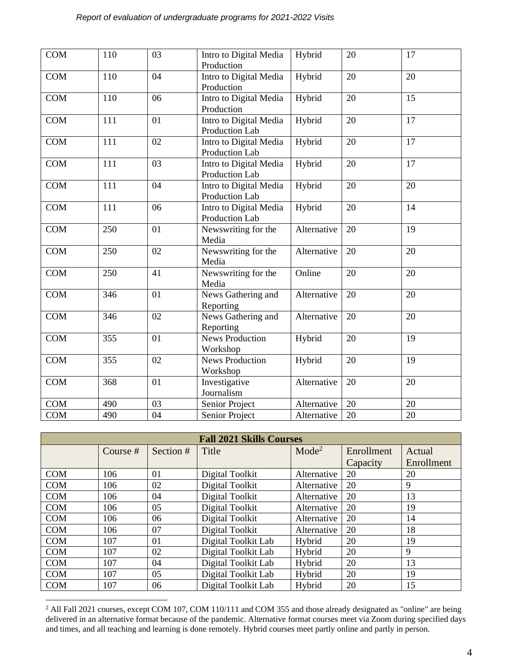| <b>COM</b> | 110 | 03 | Intro to Digital Media<br>Production     | Hybrid      | 20 | 17 |
|------------|-----|----|------------------------------------------|-------------|----|----|
| <b>COM</b> | 110 | 04 | Intro to Digital Media<br>Production     | Hybrid      | 20 | 20 |
| <b>COM</b> | 110 | 06 | Intro to Digital Media<br>Production     | Hybrid      | 20 | 15 |
| COM        | 111 | 01 | Intro to Digital Media<br>Production Lab | Hybrid      | 20 | 17 |
| <b>COM</b> | 111 | 02 | Intro to Digital Media<br>Production Lab | Hybrid      | 20 | 17 |
| <b>COM</b> | 111 | 03 | Intro to Digital Media<br>Production Lab | Hybrid      | 20 | 17 |
| <b>COM</b> | 111 | 04 | Intro to Digital Media<br>Production Lab | Hybrid      | 20 | 20 |
| <b>COM</b> | 111 | 06 | Intro to Digital Media<br>Production Lab | Hybrid      | 20 | 14 |
| <b>COM</b> | 250 | 01 | Newswriting for the<br>Media             | Alternative | 20 | 19 |
| <b>COM</b> | 250 | 02 | Newswriting for the<br>Media             | Alternative | 20 | 20 |
| <b>COM</b> | 250 | 41 | Newswriting for the<br>Media             | Online      | 20 | 20 |
| <b>COM</b> | 346 | 01 | News Gathering and<br>Reporting          | Alternative | 20 | 20 |
| <b>COM</b> | 346 | 02 | News Gathering and<br>Reporting          | Alternative | 20 | 20 |
| <b>COM</b> | 355 | 01 | <b>News Production</b><br>Workshop       | Hybrid      | 20 | 19 |
| <b>COM</b> | 355 | 02 | <b>News Production</b><br>Workshop       | Hybrid      | 20 | 19 |
| <b>COM</b> | 368 | 01 | Investigative<br>Journalism              | Alternative | 20 | 20 |
| <b>COM</b> | 490 | 03 | Senior Project                           | Alternative | 20 | 20 |
| <b>COM</b> | 490 | 04 | Senior Project                           | Alternative | 20 | 20 |

| <b>Fall 2021 Skills Courses</b> |          |           |                            |             |            |            |  |
|---------------------------------|----------|-----------|----------------------------|-------------|------------|------------|--|
|                                 | Course # | Section # | Title<br>Mode <sup>2</sup> |             | Enrollment | Actual     |  |
|                                 |          |           |                            |             | Capacity   | Enrollment |  |
| <b>COM</b>                      | 106      | 01        | Digital Toolkit            | Alternative | 20         | 20         |  |
| COM                             | 106      | 02        | Digital Toolkit            | Alternative | 20         | 9          |  |
| <b>COM</b>                      | 106      | 04        | Digital Toolkit            | Alternative | 20         | 13         |  |
| <b>COM</b>                      | 106      | 05        | Digital Toolkit            | Alternative | 20         | 19         |  |
| <b>COM</b>                      | 106      | 06        | Digital Toolkit            | Alternative | 20         | 14         |  |
| COM                             | 106      | 07        | Digital Toolkit            | Alternative | 20         | 18         |  |
| <b>COM</b>                      | 107      | 01        | Digital Toolkit Lab        | Hybrid      | 20         | 19         |  |
| COM                             | 107      | 02        | Digital Toolkit Lab        | Hybrid      | 20         | 9          |  |
| COM                             | 107      | 04        | Digital Toolkit Lab        | Hybrid      | 20         | 13         |  |
| <b>COM</b>                      | 107      | 05        | Digital Toolkit Lab        | Hybrid      | 20         | 19         |  |
| <b>COM</b>                      | 107      | 06        | Digital Toolkit Lab        | Hybrid      | 20         | 15         |  |

 $2$  All Fall 2021 courses, except COM 107, COM 110/111 and COM 355 and those already designated as "online" are being delivered in an alternative format because of the pandemic. Alternative format courses meet via Zoom during specified days and times, and all teaching and learning is done remotely. Hybrid courses meet partly online and partly in person.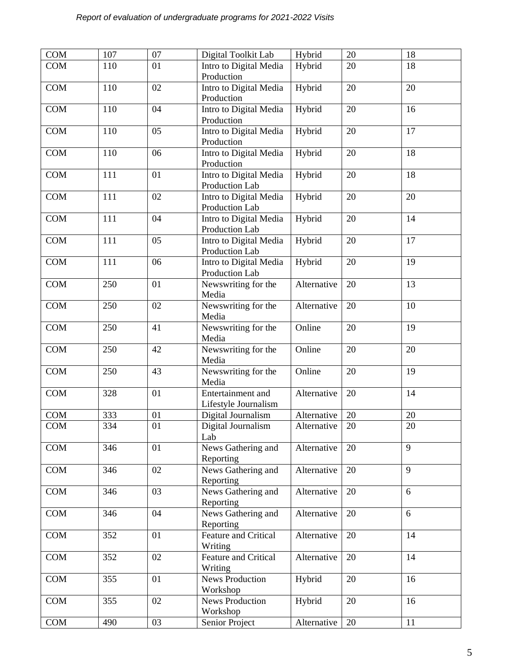| <b>COM</b> | 107 | 07 | Digital Toolkit Lab    | Hybrid      | 20 | 18 |
|------------|-----|----|------------------------|-------------|----|----|
| COM        | 110 | 01 | Intro to Digital Media | Hybrid      | 20 | 18 |
|            |     |    | Production             |             |    |    |
| <b>COM</b> | 110 | 02 | Intro to Digital Media | Hybrid      | 20 | 20 |
|            |     |    | Production             |             |    |    |
| <b>COM</b> | 110 | 04 | Intro to Digital Media | Hybrid      | 20 | 16 |
|            |     |    |                        |             |    |    |
|            |     |    | Production             |             |    |    |
| <b>COM</b> | 110 | 05 | Intro to Digital Media | Hybrid      | 20 | 17 |
|            |     |    | Production             |             |    |    |
| <b>COM</b> | 110 | 06 | Intro to Digital Media | Hybrid      | 20 | 18 |
|            |     |    | Production             |             |    |    |
| <b>COM</b> | 111 | 01 | Intro to Digital Media | Hybrid      | 20 | 18 |
|            |     |    | Production Lab         |             |    |    |
| <b>COM</b> | 111 | 02 | Intro to Digital Media | Hybrid      | 20 | 20 |
|            |     |    | Production Lab         |             |    |    |
| <b>COM</b> | 111 | 04 | Intro to Digital Media | Hybrid      | 20 | 14 |
|            |     |    | Production Lab         |             |    |    |
|            |     |    |                        |             |    |    |
| <b>COM</b> | 111 | 05 | Intro to Digital Media | Hybrid      | 20 | 17 |
|            |     |    | Production Lab         |             |    |    |
| <b>COM</b> | 111 | 06 | Intro to Digital Media | Hybrid      | 20 | 19 |
|            |     |    | Production Lab         |             |    |    |
| <b>COM</b> | 250 | 01 | Newswriting for the    | Alternative | 20 | 13 |
|            |     |    | Media                  |             |    |    |
| <b>COM</b> | 250 | 02 | Newswriting for the    | Alternative | 20 | 10 |
|            |     |    | Media                  |             |    |    |
| <b>COM</b> | 250 | 41 | Newswriting for the    | Online      | 20 | 19 |
|            |     |    | Media                  |             |    |    |
|            |     |    |                        |             |    |    |
| <b>COM</b> | 250 | 42 | Newswriting for the    | Online      | 20 | 20 |
|            |     |    | Media                  |             |    |    |
| <b>COM</b> | 250 | 43 | Newswriting for the    | Online      | 20 | 19 |
|            |     |    | Media                  |             |    |    |
| <b>COM</b> | 328 | 01 | Entertainment and      | Alternative | 20 | 14 |
|            |     |    | Lifestyle Journalism   |             |    |    |
| <b>COM</b> | 333 | 01 | Digital Journalism     | Alternative | 20 | 20 |
| <b>COM</b> | 334 | 01 | Digital Journalism     | Alternative | 20 | 20 |
|            |     |    | Lab                    |             |    |    |
| COM        | 346 | 01 | News Gathering and     | Alternative | 20 | 9  |
|            |     |    |                        |             |    |    |
|            |     |    | Reporting              |             |    |    |
| COM        | 346 | 02 | News Gathering and     | Alternative | 20 | 9  |
|            |     |    | Reporting              |             |    |    |
| COM        | 346 | 03 | News Gathering and     | Alternative | 20 | 6  |
|            |     |    | Reporting              |             |    |    |
| COM        | 346 | 04 | News Gathering and     | Alternative | 20 | 6  |
|            |     |    | Reporting              |             |    |    |
| COM        | 352 | 01 | Feature and Critical   | Alternative | 20 | 14 |
|            |     |    | Writing                |             |    |    |
| COM        | 352 | 02 | Feature and Critical   | Alternative | 20 | 14 |
|            |     |    |                        |             |    |    |
|            |     |    | Writing                |             |    |    |
| COM        | 355 | 01 | <b>News Production</b> | Hybrid      | 20 | 16 |
|            |     |    | Workshop               |             |    |    |
| COM        | 355 | 02 | News Production        | Hybrid      | 20 | 16 |
|            |     |    | Workshop               |             |    |    |
| <b>COM</b> | 490 | 03 | Senior Project         | Alternative | 20 | 11 |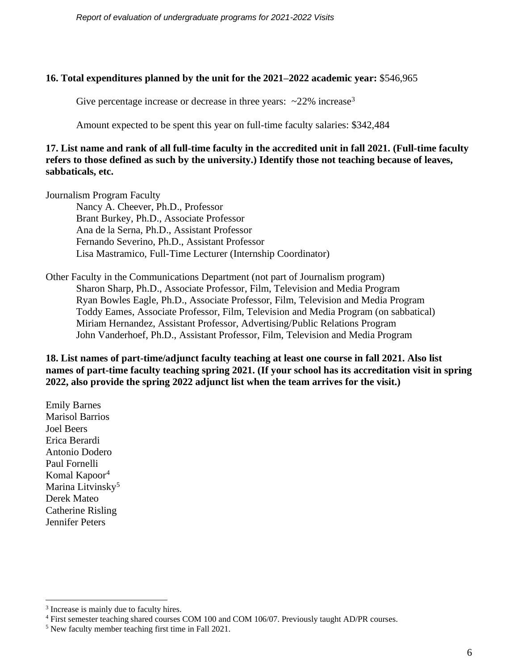#### **16. Total expenditures planned by the unit for the 2021–2022 academic year:** \$546,965

Give percentage increase or decrease in three years:  $\sim$ 22% increase<sup>3</sup>

Amount expected to be spent this year on full-time faculty salaries: \$342,484

**17. List name and rank of all full-time faculty in the accredited unit in fall 2021. (Full-time faculty refers to those defined as such by the university.) Identify those not teaching because of leaves, sabbaticals, etc.**

Journalism Program Faculty

Nancy A. Cheever, Ph.D., Professor Brant Burkey, Ph.D., Associate Professor Ana de la Serna, Ph.D., Assistant Professor Fernando Severino, Ph.D., Assistant Professor Lisa Mastramico, Full-Time Lecturer (Internship Coordinator)

Other Faculty in the Communications Department (not part of Journalism program) Sharon Sharp, Ph.D., Associate Professor, Film, Television and Media Program Ryan Bowles Eagle, Ph.D., Associate Professor, Film, Television and Media Program Toddy Eames, Associate Professor, Film, Television and Media Program (on sabbatical) Miriam Hernandez, Assistant Professor, Advertising/Public Relations Program John Vanderhoef, Ph.D., Assistant Professor, Film, Television and Media Program

**18. List names of part-time/adjunct faculty teaching at least one course in fall 2021. Also list names of part-time faculty teaching spring 2021. (If your school has its accreditation visit in spring 2022, also provide the spring 2022 adjunct list when the team arrives for the visit.)**

Emily Barnes Marisol Barrios Joel Beers Erica Berardi Antonio Dodero Paul Fornelli Komal Kapoor<sup>4</sup> Marina Litvinsky<sup>5</sup> Derek Mateo Catherine Risling Jennifer Peters

<sup>&</sup>lt;sup>3</sup> Increase is mainly due to faculty hires.

<sup>&</sup>lt;sup>4</sup> First semester teaching shared courses COM 100 and COM 106/07. Previously taught AD/PR courses.

<sup>5</sup> New faculty member teaching first time in Fall 2021.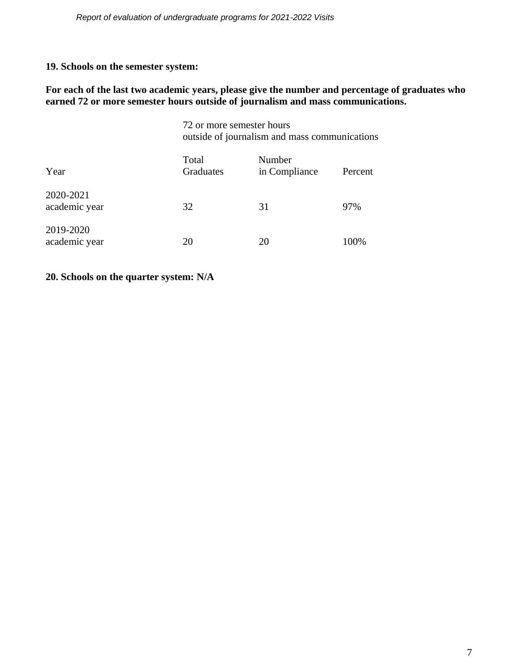# **19. Schools on the semester system:**

#### **For each of the last two academic years, please give the number and percentage of graduates who earned 72 or more semester hours outside of journalism and mass communications.**

|                            | 72 or more semester hours<br>outside of journalism and mass communications |                         |         |  |  |  |
|----------------------------|----------------------------------------------------------------------------|-------------------------|---------|--|--|--|
| Year                       | Total<br>Graduates                                                         | Number<br>in Compliance | Percent |  |  |  |
| 2020-2021<br>academic year | 32                                                                         | 31                      | 97%     |  |  |  |
| 2019-2020<br>academic year | 20                                                                         |                         | 100%    |  |  |  |

# **20. Schools on the quarter system: N/A**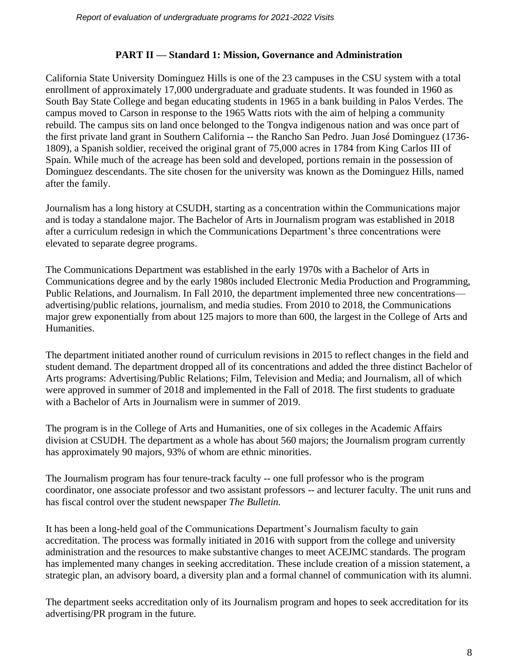#### **PART II — Standard 1: Mission, Governance and Administration**

California State University Dominguez Hills is one of the 23 campuses in the CSU system with a total enrollment of approximately 17,000 undergraduate and graduate students. It was founded in 1960 as South Bay State College and began educating students in 1965 in a bank building in Palos Verdes. The campus moved to Carson in response to the 1965 Watts riots with the aim of helping a community rebuild. The campus sits on land once belonged to the Tongva indigenous nation and was once part of the first private land grant in Southern California -- the Rancho San Pedro. Juan José Dominguez (1736- 1809), a Spanish soldier, received the original grant of 75,000 acres in 1784 from King Carlos III of Spain. While much of the acreage has been sold and developed, portions remain in the possession of Dominguez descendants. The site chosen for the university was known as the Dominguez Hills, named after the family.

Journalism has a long history at CSUDH, starting as a concentration within the Communications major and is today a standalone major. The Bachelor of Arts in Journalism program was established in 2018 after a curriculum redesign in which the Communications Department's three concentrations were elevated to separate degree programs.

The Communications Department was established in the early 1970s with a Bachelor of Arts in Communications degree and by the early 1980s included Electronic Media Production and Programming, Public Relations, and Journalism. In Fall 2010, the department implemented three new concentrations advertising/public relations, journalism, and media studies. From 2010 to 2018, the Communications major grew exponentially from about 125 majors to more than 600, the largest in the College of Arts and Humanities.

The department initiated another round of curriculum revisions in 2015 to reflect changes in the field and student demand. The department dropped all of its concentrations and added the three distinct Bachelor of Arts programs: Advertising/Public Relations; Film, Television and Media; and Journalism, all of which were approved in summer of 2018 and implemented in the Fall of 2018. The first students to graduate with a Bachelor of Arts in Journalism were in summer of 2019.

The program is in the College of Arts and Humanities, one of six colleges in the Academic Affairs division at CSUDH. The department as a whole has about 560 majors; the Journalism program currently has approximately 90 majors, 93% of whom are ethnic minorities.

The Journalism program has four tenure-track faculty -- one full professor who is the program coordinator, one associate professor and two assistant professors -- and lecturer faculty. The unit runs and has fiscal control over the student newspaper *The Bulletin.*

It has been a long-held goal of the Communications Department's Journalism faculty to gain accreditation. The process was formally initiated in 2016 with support from the college and university administration and the resources to make substantive changes to meet ACEJMC standards. The program has implemented many changes in seeking accreditation. These include creation of a mission statement, a strategic plan, an advisory board, a diversity plan and a formal channel of communication with its alumni.

The department seeks accreditation only of its Journalism program and hopes to seek accreditation for its advertising/PR program in the future.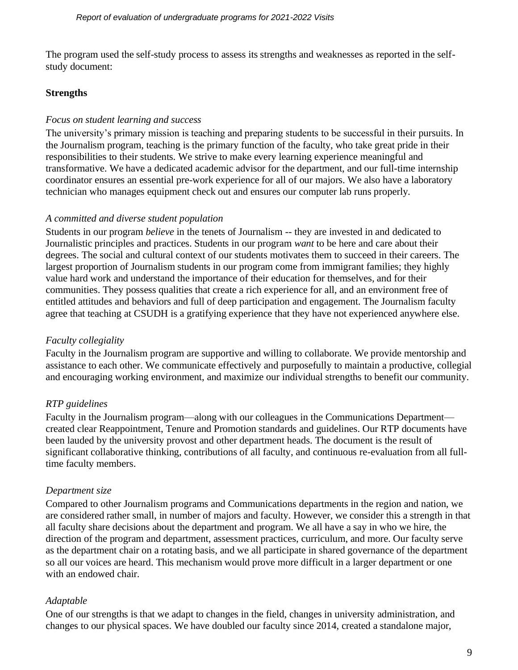The program used the self-study process to assess its strengths and weaknesses as reported in the selfstudy document:

# **Strengths**

## *Focus on student learning and success*

The university's primary mission is teaching and preparing students to be successful in their pursuits. In the Journalism program, teaching is the primary function of the faculty, who take great pride in their responsibilities to their students. We strive to make every learning experience meaningful and transformative. We have a dedicated academic advisor for the department, and our full-time internship coordinator ensures an essential pre-work experience for all of our majors. We also have a laboratory technician who manages equipment check out and ensures our computer lab runs properly.

#### *A committed and diverse student population*

Students in our program *believe* in the tenets of Journalism -- they are invested in and dedicated to Journalistic principles and practices. Students in our program *want* to be here and care about their degrees. The social and cultural context of our students motivates them to succeed in their careers. The largest proportion of Journalism students in our program come from immigrant families; they highly value hard work and understand the importance of their education for themselves, and for their communities. They possess qualities that create a rich experience for all, and an environment free of entitled attitudes and behaviors and full of deep participation and engagement. The Journalism faculty agree that teaching at CSUDH is a gratifying experience that they have not experienced anywhere else.

# *Faculty collegiality*

Faculty in the Journalism program are supportive and willing to collaborate. We provide mentorship and assistance to each other. We communicate effectively and purposefully to maintain a productive, collegial and encouraging working environment, and maximize our individual strengths to benefit our community.

# *RTP guidelines*

Faculty in the Journalism program—along with our colleagues in the Communications Department created clear Reappointment, Tenure and Promotion standards and guidelines. Our RTP documents have been lauded by the university provost and other department heads. The document is the result of significant collaborative thinking, contributions of all faculty, and continuous re-evaluation from all fulltime faculty members.

# *Department size*

Compared to other Journalism programs and Communications departments in the region and nation, we are considered rather small, in number of majors and faculty. However, we consider this a strength in that all faculty share decisions about the department and program. We all have a say in who we hire, the direction of the program and department, assessment practices, curriculum, and more. Our faculty serve as the department chair on a rotating basis, and we all participate in shared governance of the department so all our voices are heard. This mechanism would prove more difficult in a larger department or one with an endowed chair.

# *Adaptable*

One of our strengths is that we adapt to changes in the field, changes in university administration, and changes to our physical spaces. We have doubled our faculty since 2014, created a standalone major,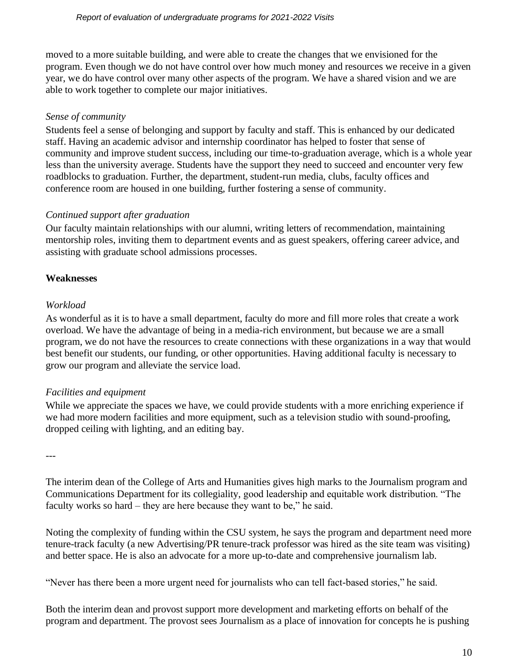moved to a more suitable building, and were able to create the changes that we envisioned for the program. Even though we do not have control over how much money and resources we receive in a given year, we do have control over many other aspects of the program. We have a shared vision and we are able to work together to complete our major initiatives.

## *Sense of community*

Students feel a sense of belonging and support by faculty and staff. This is enhanced by our dedicated staff. Having an academic advisor and internship coordinator has helped to foster that sense of community and improve student success, including our time-to-graduation average, which is a whole year less than the university average. Students have the support they need to succeed and encounter very few roadblocks to graduation. Further, the department, student-run media, clubs, faculty offices and conference room are housed in one building, further fostering a sense of community.

# *Continued support after graduation*

Our faculty maintain relationships with our alumni, writing letters of recommendation, maintaining mentorship roles, inviting them to department events and as guest speakers, offering career advice, and assisting with graduate school admissions processes.

# **Weaknesses**

# *Workload*

As wonderful as it is to have a small department, faculty do more and fill more roles that create a work overload. We have the advantage of being in a media-rich environment, but because we are a small program, we do not have the resources to create connections with these organizations in a way that would best benefit our students, our funding, or other opportunities. Having additional faculty is necessary to grow our program and alleviate the service load.

# *Facilities and equipment*

While we appreciate the spaces we have, we could provide students with a more enriching experience if we had more modern facilities and more equipment, such as a television studio with sound-proofing, dropped ceiling with lighting, and an editing bay.

---

The interim dean of the College of Arts and Humanities gives high marks to the Journalism program and Communications Department for its collegiality, good leadership and equitable work distribution. "The faculty works so hard – they are here because they want to be," he said.

Noting the complexity of funding within the CSU system, he says the program and department need more tenure-track faculty (a new Advertising/PR tenure-track professor was hired as the site team was visiting) and better space. He is also an advocate for a more up-to-date and comprehensive journalism lab.

"Never has there been a more urgent need for journalists who can tell fact-based stories," he said.

Both the interim dean and provost support more development and marketing efforts on behalf of the program and department. The provost sees Journalism as a place of innovation for concepts he is pushing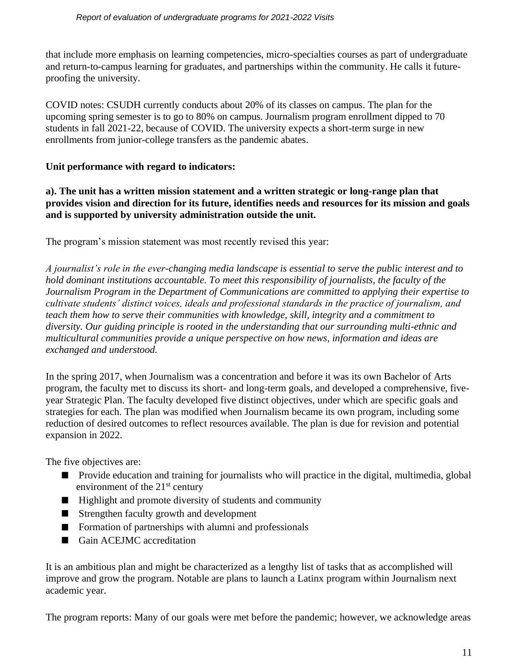that include more emphasis on learning competencies, micro-specialties courses as part of undergraduate and return-to-campus learning for graduates, and partnerships within the community. He calls it futureproofing the university.

COVID notes: CSUDH currently conducts about 20% of its classes on campus. The plan for the upcoming spring semester is to go to 80% on campus. Journalism program enrollment dipped to 70 students in fall 2021-22, because of COVID. The university expects a short-term surge in new enrollments from junior-college transfers as the pandemic abates.

#### **Unit performance with regard to indicators:**

**a). The unit has a written mission statement and a written strategic or long-range plan that provides vision and direction for its future, identifies needs and resources for its mission and goals and is supported by university administration outside the unit.** 

The program's mission statement was most recently revised this year:

*A journalist's role in the ever-changing media landscape is essential to serve the public interest and to hold dominant institutions accountable. To meet this responsibility of journalists, the faculty of the Journalism Program in the Department of Communications are committed to applying their expertise to cultivate students' distinct voices, ideals and professional standards in the practice of journalism, and teach them how to serve their communities with knowledge, skill, integrity and a commitment to diversity. Our guiding principle is rooted in the understanding that our surrounding multi-ethnic and multicultural communities provide a unique perspective on how news, information and ideas are exchanged and understood.* 

In the spring 2017, when Journalism was a concentration and before it was its own Bachelor of Arts program, the faculty met to discuss its short- and long-term goals, and developed a comprehensive, fiveyear Strategic Plan. The faculty developed five distinct objectives, under which are specific goals and strategies for each. The plan was modified when Journalism became its own program, including some reduction of desired outcomes to reflect resources available. The plan is due for revision and potential expansion in 2022.

The five objectives are:

- **Provide education and training for journalists who will practice in the digital, multimedia, global** environment of the  $21<sup>st</sup>$  century
- $\blacksquare$  Highlight and promote diversity of students and community
- **Strengthen faculty growth and development**
- **Formation of partnerships with alumni and professionals**
- Gain ACEJMC accreditation

It is an ambitious plan and might be characterized as a lengthy list of tasks that as accomplished will improve and grow the program. Notable are plans to launch a Latinx program within Journalism next academic year.

The program reports: Many of our goals were met before the pandemic; however, we acknowledge areas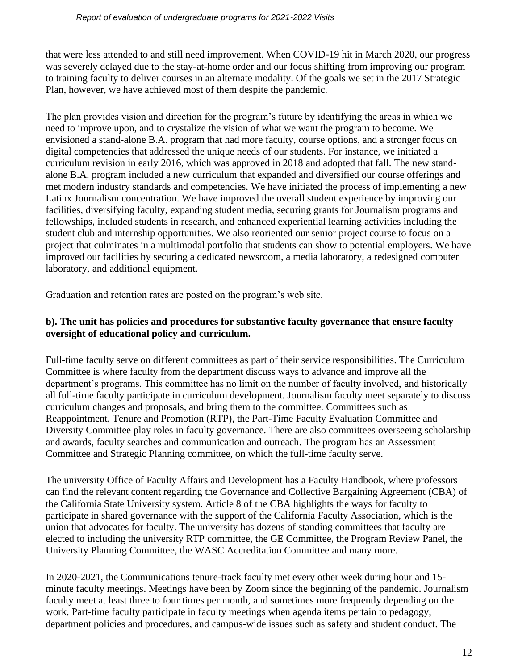that were less attended to and still need improvement. When COVID-19 hit in March 2020, our progress was severely delayed due to the stay-at-home order and our focus shifting from improving our program to training faculty to deliver courses in an alternate modality. Of the goals we set in the 2017 Strategic Plan, however, we have achieved most of them despite the pandemic.

The plan provides vision and direction for the program's future by identifying the areas in which we need to improve upon, and to crystalize the vision of what we want the program to become. We envisioned a stand-alone B.A. program that had more faculty, course options, and a stronger focus on digital competencies that addressed the unique needs of our students. For instance, we initiated a curriculum revision in early 2016, which was approved in 2018 and adopted that fall. The new standalone B.A. program included a new curriculum that expanded and diversified our course offerings and met modern industry standards and competencies. We have initiated the process of implementing a new Latinx Journalism concentration. We have improved the overall student experience by improving our facilities, diversifying faculty, expanding student media, securing grants for Journalism programs and fellowships, included students in research, and enhanced experiential learning activities including the student club and internship opportunities. We also reoriented our senior project course to focus on a project that culminates in a multimodal portfolio that students can show to potential employers. We have improved our facilities by securing a dedicated newsroom, a media laboratory, a redesigned computer laboratory, and additional equipment.

Graduation and retention rates are posted on the program's web site.

# **b). The unit has policies and procedures for substantive faculty governance that ensure faculty oversight of educational policy and curriculum.**

Full-time faculty serve on different committees as part of their service responsibilities. The Curriculum Committee is where faculty from the department discuss ways to advance and improve all the department's programs. This committee has no limit on the number of faculty involved, and historically all full-time faculty participate in curriculum development. Journalism faculty meet separately to discuss curriculum changes and proposals, and bring them to the committee. Committees such as Reappointment, Tenure and Promotion (RTP), the Part-Time Faculty Evaluation Committee and Diversity Committee play roles in faculty governance. There are also committees overseeing scholarship and awards, faculty searches and communication and outreach. The program has an Assessment Committee and Strategic Planning committee, on which the full-time faculty serve.

The university Office of Faculty Affairs and Development has a Faculty Handbook, where professors can find the relevant content regarding the Governance and Collective Bargaining Agreement (CBA) of the California State University system. Article 8 of the CBA highlights the ways for faculty to participate in shared governance with the support of the California Faculty Association, which is the union that advocates for faculty. The university has dozens of standing committees that faculty are elected to including the university RTP committee, the GE Committee, the Program Review Panel, the University Planning Committee, the WASC Accreditation Committee and many more.

In 2020-2021, the Communications tenure-track faculty met every other week during hour and 15 minute faculty meetings. Meetings have been by Zoom since the beginning of the pandemic. Journalism faculty meet at least three to four times per month, and sometimes more frequently depending on the work. Part-time faculty participate in faculty meetings when agenda items pertain to pedagogy, department policies and procedures, and campus-wide issues such as safety and student conduct. The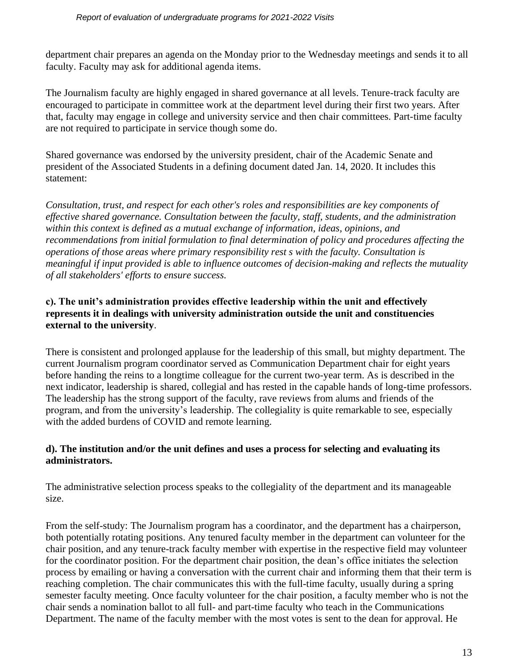department chair prepares an agenda on the Monday prior to the Wednesday meetings and sends it to all faculty. Faculty may ask for additional agenda items.

The Journalism faculty are highly engaged in shared governance at all levels. Tenure-track faculty are encouraged to participate in committee work at the department level during their first two years. After that, faculty may engage in college and university service and then chair committees. Part-time faculty are not required to participate in service though some do.

Shared governance was endorsed by the university president, chair of the Academic Senate and president of the Associated Students in a defining document dated Jan. 14, 2020. It includes this statement:

*Consultation, trust, and respect for each other's roles and responsibilities are key components of effective shared governance. Consultation between the faculty, staff, students, and the administration within this context is defined as a mutual exchange of information, ideas, opinions, and recommendations from initial formulation to final determination of policy and procedures affecting the operations of those areas where primary responsibility rest s with the faculty. Consultation is meaningful if input provided is able to influence outcomes of decision-making and reflects the mutuality of all stakeholders' efforts to ensure success.*

#### **c). The unit's administration provides effective leadership within the unit and effectively represents it in dealings with university administration outside the unit and constituencies external to the university**.

There is consistent and prolonged applause for the leadership of this small, but mighty department. The current Journalism program coordinator served as Communication Department chair for eight years before handing the reins to a longtime colleague for the current two-year term. As is described in the next indicator, leadership is shared, collegial and has rested in the capable hands of long-time professors. The leadership has the strong support of the faculty, rave reviews from alums and friends of the program, and from the university's leadership. The collegiality is quite remarkable to see, especially with the added burdens of COVID and remote learning.

#### **d). The institution and/or the unit defines and uses a process for selecting and evaluating its administrators.**

The administrative selection process speaks to the collegiality of the department and its manageable size.

From the self-study: The Journalism program has a coordinator, and the department has a chairperson, both potentially rotating positions. Any tenured faculty member in the department can volunteer for the chair position, and any tenure-track faculty member with expertise in the respective field may volunteer for the coordinator position. For the department chair position, the dean's office initiates the selection process by emailing or having a conversation with the current chair and informing them that their term is reaching completion. The chair communicates this with the full-time faculty, usually during a spring semester faculty meeting. Once faculty volunteer for the chair position, a faculty member who is not the chair sends a nomination ballot to all full- and part-time faculty who teach in the Communications Department. The name of the faculty member with the most votes is sent to the dean for approval. He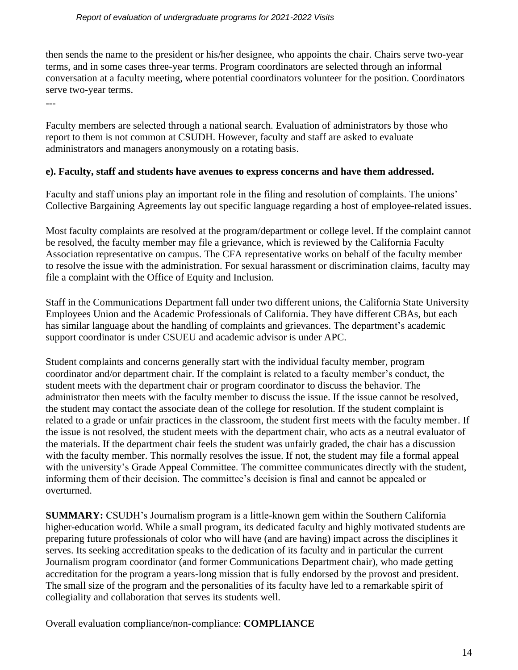---

then sends the name to the president or his/her designee, who appoints the chair. Chairs serve two-year terms, and in some cases three-year terms. Program coordinators are selected through an informal conversation at a faculty meeting, where potential coordinators volunteer for the position. Coordinators serve two-year terms.

Faculty members are selected through a national search. Evaluation of administrators by those who report to them is not common at CSUDH. However, faculty and staff are asked to evaluate administrators and managers anonymously on a rotating basis.

#### **e). Faculty, staff and students have avenues to express concerns and have them addressed.**

Faculty and staff unions play an important role in the filing and resolution of complaints. The unions' Collective Bargaining Agreements lay out specific language regarding a host of employee-related issues.

Most faculty complaints are resolved at the program/department or college level. If the complaint cannot be resolved, the faculty member may file a grievance, which is reviewed by the California Faculty Association representative on campus. The CFA representative works on behalf of the faculty member to resolve the issue with the administration. For sexual harassment or discrimination claims, faculty may file a complaint with the Office of Equity and Inclusion.

Staff in the Communications Department fall under two different unions, the California State University Employees Union and the Academic Professionals of California. They have different CBAs, but each has similar language about the handling of complaints and grievances. The department's academic support coordinator is under CSUEU and academic advisor is under APC.

Student complaints and concerns generally start with the individual faculty member, program coordinator and/or department chair. If the complaint is related to a faculty member's conduct, the student meets with the department chair or program coordinator to discuss the behavior. The administrator then meets with the faculty member to discuss the issue. If the issue cannot be resolved, the student may contact the associate dean of the college for resolution. If the student complaint is related to a grade or unfair practices in the classroom, the student first meets with the faculty member. If the issue is not resolved, the student meets with the department chair, who acts as a neutral evaluator of the materials. If the department chair feels the student was unfairly graded, the chair has a discussion with the faculty member. This normally resolves the issue. If not, the student may file a formal appeal with the university's Grade Appeal Committee. The committee communicates directly with the student, informing them of their decision. The committee's decision is final and cannot be appealed or overturned.

**SUMMARY:** CSUDH's Journalism program is a little-known gem within the Southern California higher-education world. While a small program, its dedicated faculty and highly motivated students are preparing future professionals of color who will have (and are having) impact across the disciplines it serves. Its seeking accreditation speaks to the dedication of its faculty and in particular the current Journalism program coordinator (and former Communications Department chair), who made getting accreditation for the program a years-long mission that is fully endorsed by the provost and president. The small size of the program and the personalities of its faculty have led to a remarkable spirit of collegiality and collaboration that serves its students well.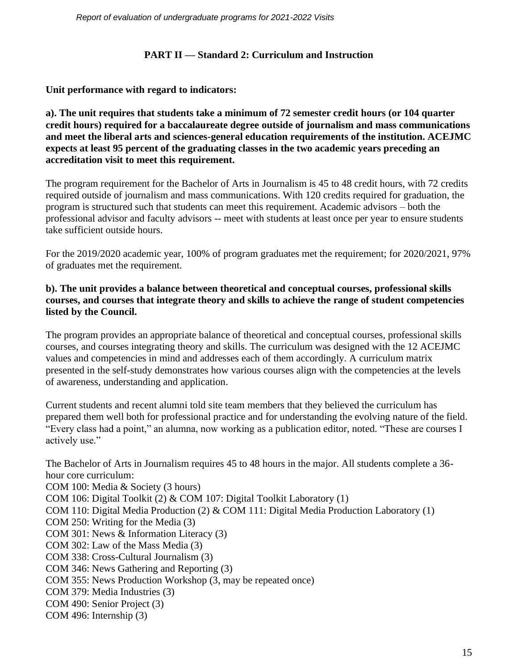*Report of evaluation of undergraduate programs for 2021-2022 Visits* 

#### **PART II — Standard 2: Curriculum and Instruction**

**Unit performance with regard to indicators:**

**a). The unit requires that students take a minimum of 72 semester credit hours (or 104 quarter credit hours) required for a baccalaureate degree outside of journalism and mass communications and meet the liberal arts and sciences-general education requirements of the institution. ACEJMC expects at least 95 percent of the graduating classes in the two academic years preceding an accreditation visit to meet this requirement.**

The program requirement for the Bachelor of Arts in Journalism is 45 to 48 credit hours, with 72 credits required outside of journalism and mass communications. With 120 credits required for graduation, the program is structured such that students can meet this requirement. Academic advisors – both the professional advisor and faculty advisors -- meet with students at least once per year to ensure students take sufficient outside hours.

For the 2019/2020 academic year, 100% of program graduates met the requirement; for 2020/2021, 97% of graduates met the requirement.

## **b). The unit provides a balance between theoretical and conceptual courses, professional skills courses, and courses that integrate theory and skills to achieve the range of student competencies listed by the Council.**

The program provides an appropriate balance of theoretical and conceptual courses, professional skills courses, and courses integrating theory and skills. The curriculum was designed with the 12 ACEJMC values and competencies in mind and addresses each of them accordingly. A curriculum matrix presented in the self-study demonstrates how various courses align with the competencies at the levels of awareness, understanding and application.

Current students and recent alumni told site team members that they believed the curriculum has prepared them well both for professional practice and for understanding the evolving nature of the field. "Every class had a point," an alumna, now working as a publication editor, noted. "These are courses I actively use."

The Bachelor of Arts in Journalism requires 45 to 48 hours in the major. All students complete a 36 hour core curriculum:

COM 100: Media & Society (3 hours) COM 106: Digital Toolkit (2) & COM 107: Digital Toolkit Laboratory (1) COM 110: Digital Media Production (2) & COM 111: Digital Media Production Laboratory (1) COM 250: Writing for the Media (3) COM 301: News & Information Literacy (3) COM 302: Law of the Mass Media (3) COM 338: Cross-Cultural Journalism (3) COM 346: News Gathering and Reporting (3) COM 355: News Production Workshop (3, may be repeated once) COM 379: Media Industries (3) COM 490: Senior Project (3)

COM 496: Internship (3)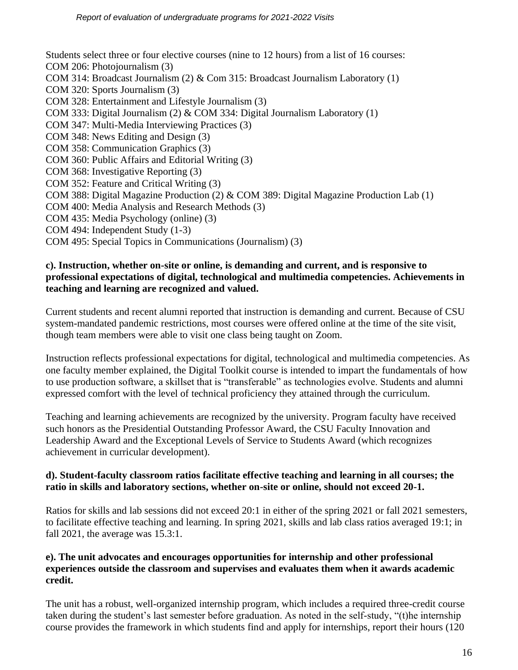Students select three or four elective courses (nine to 12 hours) from a list of 16 courses: COM 206: Photojournalism (3) COM 314: Broadcast Journalism (2) & Com 315: Broadcast Journalism Laboratory (1) COM 320: Sports Journalism (3) COM 328: Entertainment and Lifestyle Journalism (3) COM 333: Digital Journalism (2) & COM 334: Digital Journalism Laboratory (1) COM 347: Multi-Media Interviewing Practices (3) COM 348: News Editing and Design (3) COM 358: Communication Graphics (3) COM 360: Public Affairs and Editorial Writing (3) COM 368: Investigative Reporting (3) COM 352: Feature and Critical Writing (3) COM 388: Digital Magazine Production (2) & COM 389: Digital Magazine Production Lab (1) COM 400: Media Analysis and Research Methods (3) COM 435: Media Psychology (online) (3) COM 494: Independent Study (1-3) COM 495: Special Topics in Communications (Journalism) (3)

#### **c). Instruction, whether on-site or online, is demanding and current, and is responsive to professional expectations of digital, technological and multimedia competencies. Achievements in teaching and learning are recognized and valued.**

Current students and recent alumni reported that instruction is demanding and current. Because of CSU system-mandated pandemic restrictions, most courses were offered online at the time of the site visit, though team members were able to visit one class being taught on Zoom.

Instruction reflects professional expectations for digital, technological and multimedia competencies. As one faculty member explained, the Digital Toolkit course is intended to impart the fundamentals of how to use production software, a skillset that is "transferable" as technologies evolve. Students and alumni expressed comfort with the level of technical proficiency they attained through the curriculum.

Teaching and learning achievements are recognized by the university. Program faculty have received such honors as the Presidential Outstanding Professor Award, the CSU Faculty Innovation and Leadership Award and the Exceptional Levels of Service to Students Award (which recognizes achievement in curricular development).

#### **d). Student-faculty classroom ratios facilitate effective teaching and learning in all courses; the ratio in skills and laboratory sections, whether on-site or online, should not exceed 20-1.**

Ratios for skills and lab sessions did not exceed 20:1 in either of the spring 2021 or fall 2021 semesters, to facilitate effective teaching and learning. In spring 2021, skills and lab class ratios averaged 19:1; in fall 2021, the average was 15.3:1.

#### **e). The unit advocates and encourages opportunities for internship and other professional experiences outside the classroom and supervises and evaluates them when it awards academic credit.**

The unit has a robust, well-organized internship program, which includes a required three-credit course taken during the student's last semester before graduation. As noted in the self-study, "(t)he internship course provides the framework in which students find and apply for internships, report their hours (120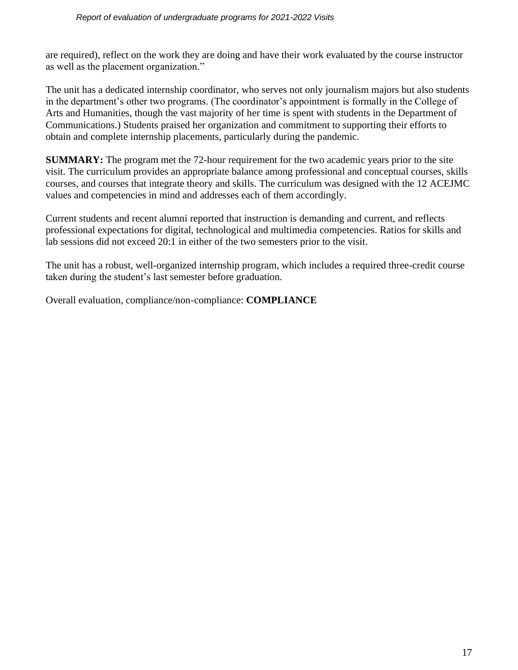are required), reflect on the work they are doing and have their work evaluated by the course instructor as well as the placement organization."

The unit has a dedicated internship coordinator, who serves not only journalism majors but also students in the department's other two programs. (The coordinator's appointment is formally in the College of Arts and Humanities, though the vast majority of her time is spent with students in the Department of Communications.) Students praised her organization and commitment to supporting their efforts to obtain and complete internship placements, particularly during the pandemic.

**SUMMARY:** The program met the 72-hour requirement for the two academic years prior to the site visit. The curriculum provides an appropriate balance among professional and conceptual courses, skills courses, and courses that integrate theory and skills. The curriculum was designed with the 12 ACEJMC values and competencies in mind and addresses each of them accordingly.

Current students and recent alumni reported that instruction is demanding and current, and reflects professional expectations for digital, technological and multimedia competencies. Ratios for skills and lab sessions did not exceed 20:1 in either of the two semesters prior to the visit.

The unit has a robust, well-organized internship program, which includes a required three-credit course taken during the student's last semester before graduation.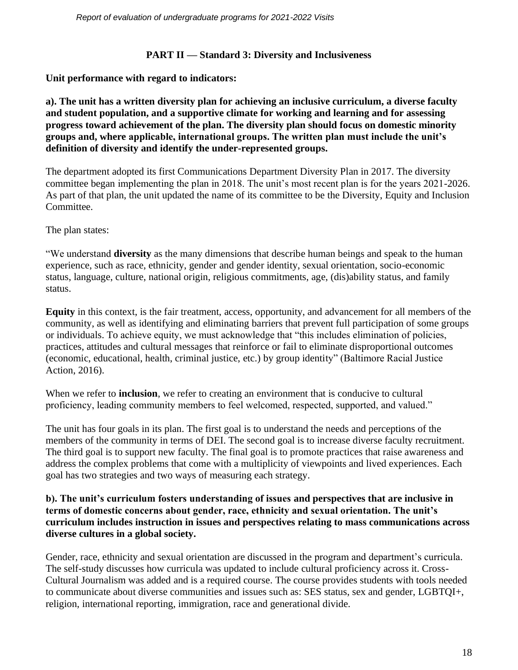## **PART II — Standard 3: Diversity and Inclusiveness**

**Unit performance with regard to indicators:**

**a). The unit has a written diversity plan for achieving an inclusive curriculum, a diverse faculty and student population, and a supportive climate for working and learning and for assessing progress toward achievement of the plan. The diversity plan should focus on domestic minority groups and, where applicable, international groups. The written plan must include the unit's definition of diversity and identify the under-represented groups.**

The department adopted its first Communications Department Diversity Plan in 2017. The diversity committee began implementing the plan in 2018. The unit's most recent plan is for the years 2021-2026. As part of that plan, the unit updated the name of its committee to be the Diversity, Equity and Inclusion Committee.

The plan states:

"We understand **diversity** as the many dimensions that describe human beings and speak to the human experience, such as race, ethnicity, gender and gender identity, sexual orientation, socio-economic status, language, culture, national origin, religious commitments, age, (dis)ability status, and family status.

**Equity** in this context, is the fair treatment, access, opportunity, and advancement for all members of the community, as well as identifying and eliminating barriers that prevent full participation of some groups or individuals. To achieve equity, we must acknowledge that "this includes elimination of policies, practices, attitudes and cultural messages that reinforce or fail to eliminate disproportional outcomes (economic, educational, health, criminal justice, etc.) by group identity" (Baltimore Racial Justice Action, 2016).

When we refer to **inclusion**, we refer to creating an environment that is conducive to cultural proficiency, leading community members to feel welcomed, respected, supported, and valued."

The unit has four goals in its plan. The first goal is to understand the needs and perceptions of the members of the community in terms of DEI. The second goal is to increase diverse faculty recruitment. The third goal is to support new faculty. The final goal is to promote practices that raise awareness and address the complex problems that come with a multiplicity of viewpoints and lived experiences. Each goal has two strategies and two ways of measuring each strategy.

#### **b). The unit's curriculum fosters understanding of issues and perspectives that are inclusive in terms of domestic concerns about gender, race, ethnicity and sexual orientation. The unit's curriculum includes instruction in issues and perspectives relating to mass communications across diverse cultures in a global society.**

Gender, race, ethnicity and sexual orientation are discussed in the program and department's curricula. The self-study discusses how curricula was updated to include cultural proficiency across it. Cross-Cultural Journalism was added and is a required course. The course provides students with tools needed to communicate about diverse communities and issues such as: SES status, sex and gender, LGBTQI+, religion, international reporting, immigration, race and generational divide.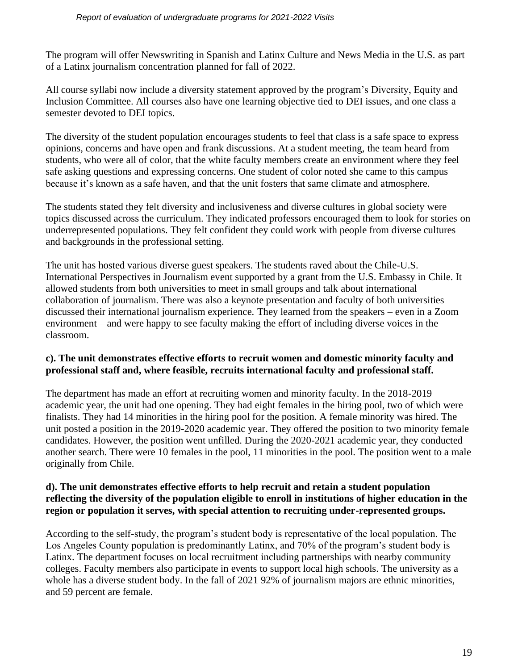The program will offer Newswriting in Spanish and Latinx Culture and News Media in the U.S. as part of a Latinx journalism concentration planned for fall of 2022.

All course syllabi now include a diversity statement approved by the program's Diversity, Equity and Inclusion Committee. All courses also have one learning objective tied to DEI issues, and one class a semester devoted to DEI topics.

The diversity of the student population encourages students to feel that class is a safe space to express opinions, concerns and have open and frank discussions. At a student meeting, the team heard from students, who were all of color, that the white faculty members create an environment where they feel safe asking questions and expressing concerns. One student of color noted she came to this campus because it's known as a safe haven, and that the unit fosters that same climate and atmosphere.

The students stated they felt diversity and inclusiveness and diverse cultures in global society were topics discussed across the curriculum. They indicated professors encouraged them to look for stories on underrepresented populations. They felt confident they could work with people from diverse cultures and backgrounds in the professional setting.

The unit has hosted various diverse guest speakers. The students raved about the Chile-U.S. International Perspectives in Journalism event supported by a grant from the U.S. Embassy in Chile. It allowed students from both universities to meet in small groups and talk about international collaboration of journalism. There was also a keynote presentation and faculty of both universities discussed their international journalism experience. They learned from the speakers – even in a Zoom environment – and were happy to see faculty making the effort of including diverse voices in the classroom.

#### **c). The unit demonstrates effective efforts to recruit women and domestic minority faculty and professional staff and, where feasible, recruits international faculty and professional staff.**

The department has made an effort at recruiting women and minority faculty. In the 2018-2019 academic year, the unit had one opening. They had eight females in the hiring pool, two of which were finalists. They had 14 minorities in the hiring pool for the position. A female minority was hired. The unit posted a position in the 2019-2020 academic year. They offered the position to two minority female candidates. However, the position went unfilled. During the 2020-2021 academic year, they conducted another search. There were 10 females in the pool, 11 minorities in the pool. The position went to a male originally from Chile.

#### **d). The unit demonstrates effective efforts to help recruit and retain a student population reflecting the diversity of the population eligible to enroll in institutions of higher education in the region or population it serves, with special attention to recruiting under-represented groups.**

According to the self-study, the program's student body is representative of the local population. The Los Angeles County population is predominantly Latinx, and 70% of the program's student body is Latinx. The department focuses on local recruitment including partnerships with nearby community colleges. Faculty members also participate in events to support local high schools. The university as a whole has a diverse student body. In the fall of 2021 92% of journalism majors are ethnic minorities, and 59 percent are female.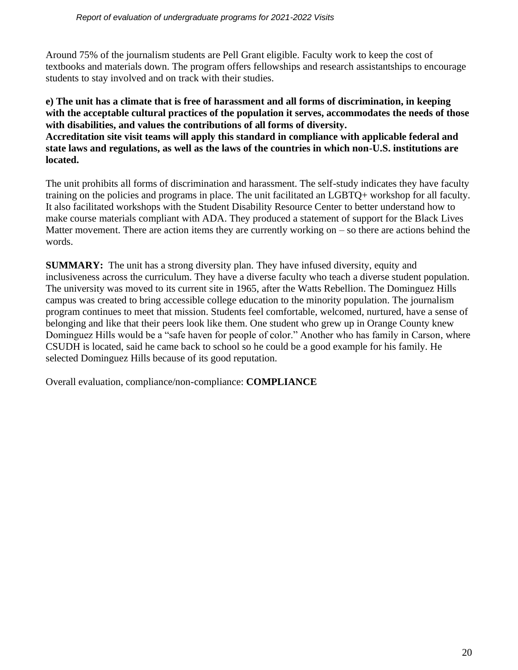Around 75% of the journalism students are Pell Grant eligible. Faculty work to keep the cost of textbooks and materials down. The program offers fellowships and research assistantships to encourage students to stay involved and on track with their studies.

**e) The unit has a climate that is free of harassment and all forms of discrimination, in keeping with the acceptable cultural practices of the population it serves, accommodates the needs of those with disabilities, and values the contributions of all forms of diversity. Accreditation site visit teams will apply this standard in compliance with applicable federal and state laws and regulations, as well as the laws of the countries in which non-U.S. institutions are located.**

The unit prohibits all forms of discrimination and harassment. The self-study indicates they have faculty training on the policies and programs in place. The unit facilitated an LGBTQ+ workshop for all faculty. It also facilitated workshops with the Student Disability Resource Center to better understand how to make course materials compliant with ADA. They produced a statement of support for the Black Lives Matter movement. There are action items they are currently working on – so there are actions behind the words.

**SUMMARY:** The unit has a strong diversity plan. They have infused diversity, equity and inclusiveness across the curriculum. They have a diverse faculty who teach a diverse student population. The university was moved to its current site in 1965, after the Watts Rebellion. The Dominguez Hills campus was created to bring accessible college education to the minority population. The journalism program continues to meet that mission. Students feel comfortable, welcomed, nurtured, have a sense of belonging and like that their peers look like them. One student who grew up in Orange County knew Dominguez Hills would be a "safe haven for people of color." Another who has family in Carson, where CSUDH is located, said he came back to school so he could be a good example for his family. He selected Dominguez Hills because of its good reputation.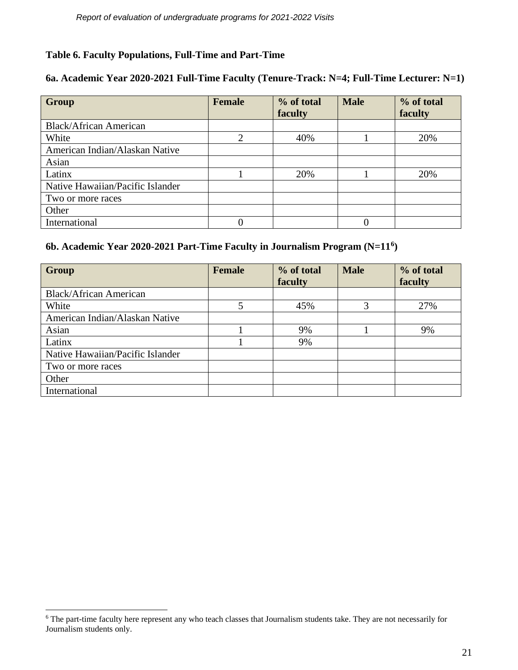#### **Table 6. Faculty Populations, Full-Time and Part-Time**

#### **6a. Academic Year 2020-2021 Full-Time Faculty (Tenure-Track: N=4; Full-Time Lecturer: N=1)**

| <b>Group</b>                     | <b>Female</b>  | % of total<br>faculty | <b>Male</b> | % of total<br>faculty |
|----------------------------------|----------------|-----------------------|-------------|-----------------------|
| <b>Black/African American</b>    |                |                       |             |                       |
| White                            | $\overline{2}$ | 40%                   |             | 20%                   |
| American Indian/Alaskan Native   |                |                       |             |                       |
| Asian                            |                |                       |             |                       |
| Latinx                           |                | 20%                   |             | 20%                   |
| Native Hawaiian/Pacific Islander |                |                       |             |                       |
| Two or more races                |                |                       |             |                       |
| Other                            |                |                       |             |                       |
| International                    |                |                       |             |                       |

#### **6b. Academic Year 2020-2021 Part-Time Faculty in Journalism Program (N=11<sup>6</sup> )**

| Group                            | <b>Female</b>  | % of total | <b>Male</b> | % of total |
|----------------------------------|----------------|------------|-------------|------------|
|                                  |                | faculty    |             | faculty    |
| <b>Black/African American</b>    |                |            |             |            |
| White                            | $\overline{5}$ | 45%        | 3           | 27%        |
| American Indian/Alaskan Native   |                |            |             |            |
| Asian                            |                | 9%         |             | 9%         |
| Latinx                           |                | 9%         |             |            |
| Native Hawaiian/Pacific Islander |                |            |             |            |
| Two or more races                |                |            |             |            |
| Other                            |                |            |             |            |
| International                    |                |            |             |            |

<sup>&</sup>lt;sup>6</sup> The part-time faculty here represent any who teach classes that Journalism students take. They are not necessarily for Journalism students only.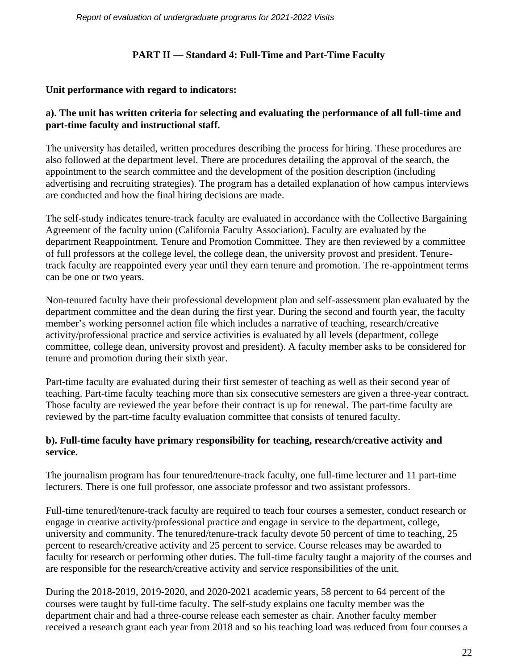## **PART II — Standard 4: Full-Time and Part-Time Faculty**

#### **Unit performance with regard to indicators:**

#### **a). The unit has written criteria for selecting and evaluating the performance of all full-time and part-time faculty and instructional staff.**

The university has detailed, written procedures describing the process for hiring. These procedures are also followed at the department level. There are procedures detailing the approval of the search, the appointment to the search committee and the development of the position description (including advertising and recruiting strategies). The program has a detailed explanation of how campus interviews are conducted and how the final hiring decisions are made.

The self-study indicates tenure-track faculty are evaluated in accordance with the Collective Bargaining Agreement of the faculty union (California Faculty Association). Faculty are evaluated by the department Reappointment, Tenure and Promotion Committee. They are then reviewed by a committee of full professors at the college level, the college dean, the university provost and president. Tenuretrack faculty are reappointed every year until they earn tenure and promotion. The re-appointment terms can be one or two years.

Non-tenured faculty have their professional development plan and self-assessment plan evaluated by the department committee and the dean during the first year. During the second and fourth year, the faculty member's working personnel action file which includes a narrative of teaching, research/creative activity/professional practice and service activities is evaluated by all levels (department, college committee, college dean, university provost and president). A faculty member asks to be considered for tenure and promotion during their sixth year.

Part-time faculty are evaluated during their first semester of teaching as well as their second year of teaching. Part-time faculty teaching more than six consecutive semesters are given a three-year contract. Those faculty are reviewed the year before their contract is up for renewal. The part-time faculty are reviewed by the part-time faculty evaluation committee that consists of tenured faculty.

## **b). Full-time faculty have primary responsibility for teaching, research/creative activity and service.**

The journalism program has four tenured/tenure-track faculty, one full-time lecturer and 11 part-time lecturers. There is one full professor, one associate professor and two assistant professors.

Full-time tenured/tenure-track faculty are required to teach four courses a semester, conduct research or engage in creative activity/professional practice and engage in service to the department, college, university and community. The tenured/tenure-track faculty devote 50 percent of time to teaching, 25 percent to research/creative activity and 25 percent to service. Course releases may be awarded to faculty for research or performing other duties. The full-time faculty taught a majority of the courses and are responsible for the research/creative activity and service responsibilities of the unit.

During the 2018-2019, 2019-2020, and 2020-2021 academic years, 58 percent to 64 percent of the courses were taught by full-time faculty. The self-study explains one faculty member was the department chair and had a three-course release each semester as chair. Another faculty member received a research grant each year from 2018 and so his teaching load was reduced from four courses a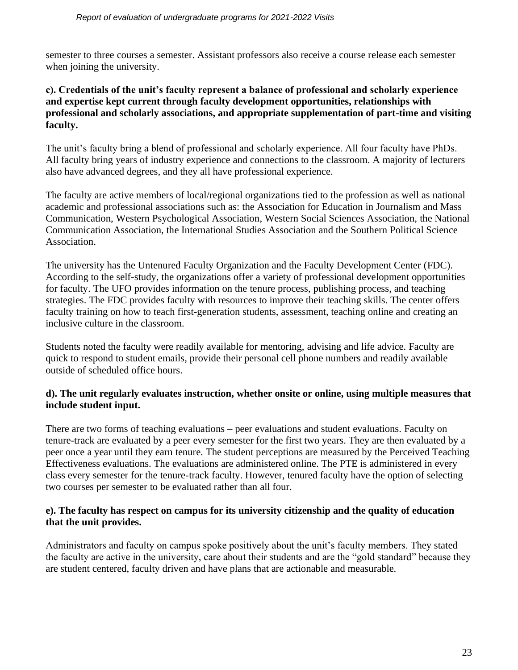semester to three courses a semester. Assistant professors also receive a course release each semester when joining the university.

#### **c). Credentials of the unit's faculty represent a balance of professional and scholarly experience and expertise kept current through faculty development opportunities, relationships with professional and scholarly associations, and appropriate supplementation of part-time and visiting faculty.**

The unit's faculty bring a blend of professional and scholarly experience. All four faculty have PhDs. All faculty bring years of industry experience and connections to the classroom. A majority of lecturers also have advanced degrees, and they all have professional experience.

The faculty are active members of local/regional organizations tied to the profession as well as national academic and professional associations such as: the Association for Education in Journalism and Mass Communication, Western Psychological Association, Western Social Sciences Association, the National Communication Association, the International Studies Association and the Southern Political Science Association.

The university has the Untenured Faculty Organization and the Faculty Development Center (FDC). According to the self-study, the organizations offer a variety of professional development opportunities for faculty. The UFO provides information on the tenure process, publishing process, and teaching strategies. The FDC provides faculty with resources to improve their teaching skills. The center offers faculty training on how to teach first-generation students, assessment, teaching online and creating an inclusive culture in the classroom.

Students noted the faculty were readily available for mentoring, advising and life advice. Faculty are quick to respond to student emails, provide their personal cell phone numbers and readily available outside of scheduled office hours.

#### **d). The unit regularly evaluates instruction, whether onsite or online, using multiple measures that include student input.**

There are two forms of teaching evaluations – peer evaluations and student evaluations. Faculty on tenure-track are evaluated by a peer every semester for the first two years. They are then evaluated by a peer once a year until they earn tenure. The student perceptions are measured by the Perceived Teaching Effectiveness evaluations. The evaluations are administered online. The PTE is administered in every class every semester for the tenure-track faculty. However, tenured faculty have the option of selecting two courses per semester to be evaluated rather than all four.

#### **e). The faculty has respect on campus for its university citizenship and the quality of education that the unit provides.**

Administrators and faculty on campus spoke positively about the unit's faculty members. They stated the faculty are active in the university, care about their students and are the "gold standard" because they are student centered, faculty driven and have plans that are actionable and measurable.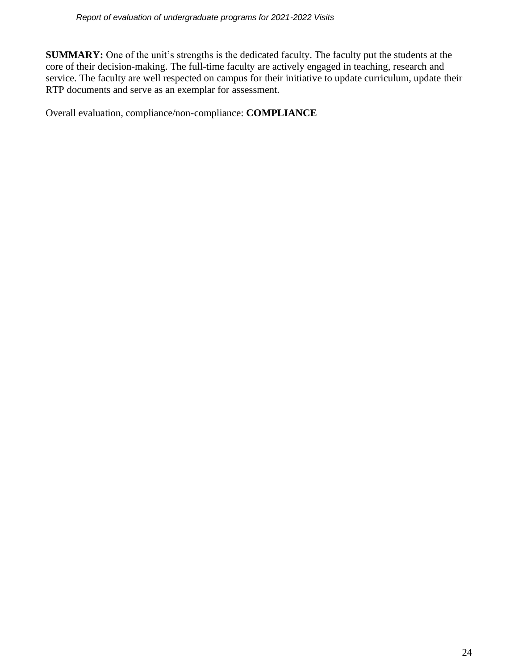**SUMMARY:** One of the unit's strengths is the dedicated faculty. The faculty put the students at the core of their decision-making. The full-time faculty are actively engaged in teaching, research and service. The faculty are well respected on campus for their initiative to update curriculum, update their RTP documents and serve as an exemplar for assessment.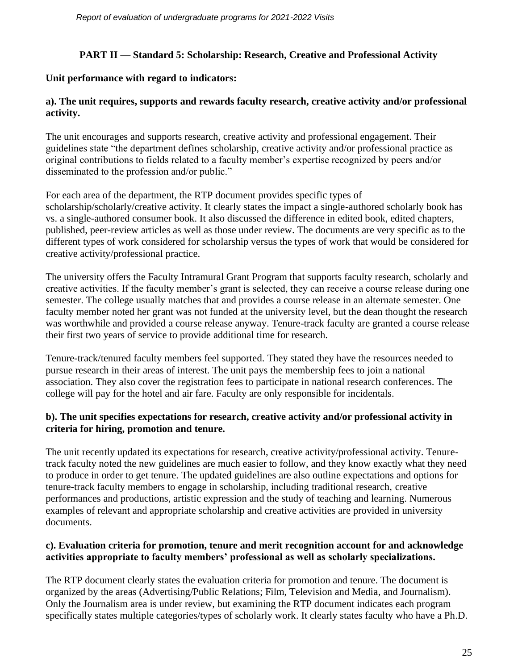## **PART II — Standard 5: Scholarship: Research, Creative and Professional Activity**

## **Unit performance with regard to indicators:**

## **a). The unit requires, supports and rewards faculty research, creative activity and/or professional activity.**

The unit encourages and supports research, creative activity and professional engagement. Their guidelines state "the department defines scholarship, creative activity and/or professional practice as original contributions to fields related to a faculty member's expertise recognized by peers and/or disseminated to the profession and/or public."

For each area of the department, the RTP document provides specific types of scholarship/scholarly/creative activity. It clearly states the impact a single-authored scholarly book has vs. a single-authored consumer book. It also discussed the difference in edited book, edited chapters, published, peer-review articles as well as those under review. The documents are very specific as to the different types of work considered for scholarship versus the types of work that would be considered for creative activity/professional practice.

The university offers the Faculty Intramural Grant Program that supports faculty research, scholarly and creative activities. If the faculty member's grant is selected, they can receive a course release during one semester. The college usually matches that and provides a course release in an alternate semester. One faculty member noted her grant was not funded at the university level, but the dean thought the research was worthwhile and provided a course release anyway. Tenure-track faculty are granted a course release their first two years of service to provide additional time for research.

Tenure-track/tenured faculty members feel supported. They stated they have the resources needed to pursue research in their areas of interest. The unit pays the membership fees to join a national association. They also cover the registration fees to participate in national research conferences. The college will pay for the hotel and air fare. Faculty are only responsible for incidentals.

## **b). The unit specifies expectations for research, creative activity and/or professional activity in criteria for hiring, promotion and tenure.**

The unit recently updated its expectations for research, creative activity/professional activity. Tenuretrack faculty noted the new guidelines are much easier to follow, and they know exactly what they need to produce in order to get tenure. The updated guidelines are also outline expectations and options for tenure-track faculty members to engage in scholarship, including traditional research, creative performances and productions, artistic expression and the study of teaching and learning. Numerous examples of relevant and appropriate scholarship and creative activities are provided in university documents.

#### **c). Evaluation criteria for promotion, tenure and merit recognition account for and acknowledge activities appropriate to faculty members' professional as well as scholarly specializations.**

The RTP document clearly states the evaluation criteria for promotion and tenure. The document is organized by the areas (Advertising/Public Relations; Film, Television and Media, and Journalism). Only the Journalism area is under review, but examining the RTP document indicates each program specifically states multiple categories/types of scholarly work. It clearly states faculty who have a Ph.D.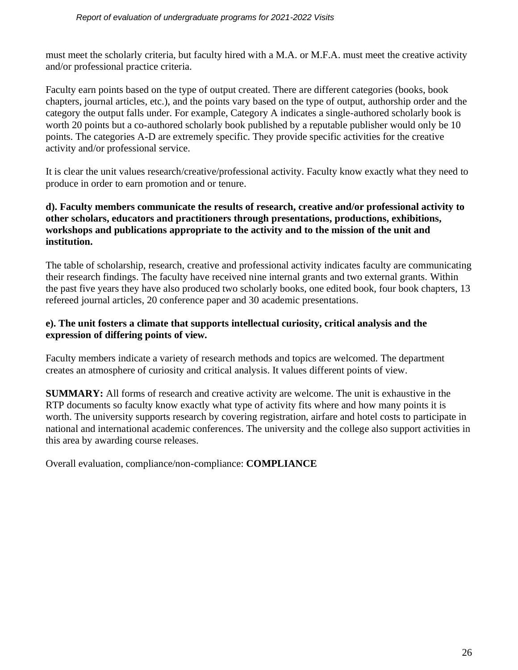must meet the scholarly criteria, but faculty hired with a M.A. or M.F.A. must meet the creative activity and/or professional practice criteria.

Faculty earn points based on the type of output created. There are different categories (books, book chapters, journal articles, etc.), and the points vary based on the type of output, authorship order and the category the output falls under. For example, Category A indicates a single-authored scholarly book is worth 20 points but a co-authored scholarly book published by a reputable publisher would only be 10 points. The categories A-D are extremely specific. They provide specific activities for the creative activity and/or professional service.

It is clear the unit values research/creative/professional activity. Faculty know exactly what they need to produce in order to earn promotion and or tenure.

#### **d). Faculty members communicate the results of research, creative and/or professional activity to other scholars, educators and practitioners through presentations, productions, exhibitions, workshops and publications appropriate to the activity and to the mission of the unit and institution.**

The table of scholarship, research, creative and professional activity indicates faculty are communicating their research findings. The faculty have received nine internal grants and two external grants. Within the past five years they have also produced two scholarly books, one edited book, four book chapters, 13 refereed journal articles, 20 conference paper and 30 academic presentations.

#### **e). The unit fosters a climate that supports intellectual curiosity, critical analysis and the expression of differing points of view.**

Faculty members indicate a variety of research methods and topics are welcomed. The department creates an atmosphere of curiosity and critical analysis. It values different points of view.

**SUMMARY:** All forms of research and creative activity are welcome. The unit is exhaustive in the RTP documents so faculty know exactly what type of activity fits where and how many points it is worth. The university supports research by covering registration, airfare and hotel costs to participate in national and international academic conferences. The university and the college also support activities in this area by awarding course releases.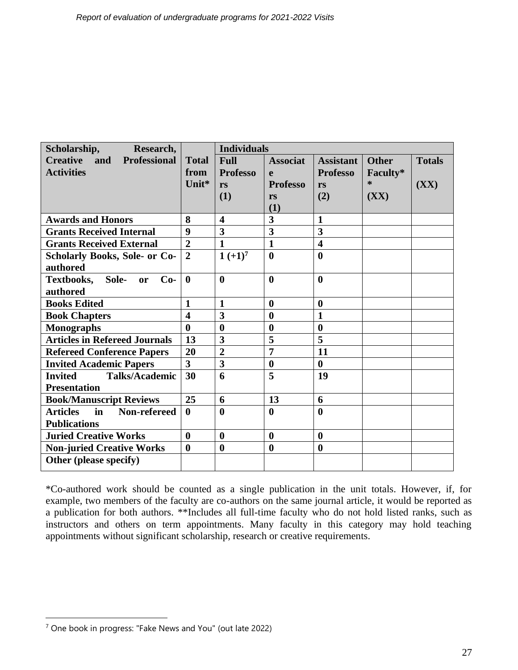| Scholarship,<br>Research,                        |                         | <b>Individuals</b>      |                         |                         |              |               |
|--------------------------------------------------|-------------------------|-------------------------|-------------------------|-------------------------|--------------|---------------|
| <b>Creative</b><br><b>Professional</b><br>and    | <b>Total</b>            | <b>Full</b>             | <b>Associat</b>         | <b>Assistant</b>        | <b>Other</b> | <b>Totals</b> |
| <b>Activities</b>                                | from                    | <b>Professo</b>         | e                       | <b>Professo</b>         | Faculty*     |               |
|                                                  | Unit*                   | <b>rs</b>               | <b>Professo</b>         | rs                      | *            | (XX)          |
|                                                  |                         | (1)                     | rs                      | (2)                     | (XX)         |               |
|                                                  |                         |                         | (1)                     |                         |              |               |
| <b>Awards and Honors</b>                         | 8                       | $\overline{\mathbf{4}}$ | $\overline{\mathbf{3}}$ | $\mathbf{1}$            |              |               |
| <b>Grants Received Internal</b>                  | 9                       | 3                       | 3                       | 3                       |              |               |
| <b>Grants Received External</b>                  | $\overline{2}$          | $\mathbf{1}$            | $\mathbf{1}$            | $\overline{\mathbf{4}}$ |              |               |
| <b>Scholarly Books, Sole- or Co-</b>             | $\overline{2}$          | $1 (+1)^7$              | $\boldsymbol{0}$        | $\boldsymbol{0}$        |              |               |
| authored                                         |                         |                         |                         |                         |              |               |
| <b>Textbooks,</b><br>Sole-<br>$Co-$<br><b>or</b> | $\mathbf{0}$            | $\boldsymbol{0}$        | $\mathbf{0}$            | $\boldsymbol{0}$        |              |               |
| authored                                         |                         |                         |                         |                         |              |               |
| <b>Books Edited</b>                              | $\mathbf{1}$            | $\mathbf{1}$            | $\mathbf{0}$            | $\boldsymbol{0}$        |              |               |
| <b>Book Chapters</b>                             | $\overline{\mathbf{4}}$ | $\overline{\mathbf{3}}$ | $\boldsymbol{0}$        | $\mathbf{1}$            |              |               |
| <b>Monographs</b>                                | $\boldsymbol{0}$        | $\boldsymbol{0}$        | $\boldsymbol{0}$        | $\bf{0}$                |              |               |
| <b>Articles in Refereed Journals</b>             | 13                      | 3                       | 5                       | 5                       |              |               |
| <b>Refereed Conference Papers</b>                | 20                      | $\overline{2}$          | $\overline{7}$          | 11                      |              |               |
| <b>Invited Academic Papers</b>                   | 3                       | 3                       | $\boldsymbol{0}$        | $\bf{0}$                |              |               |
| <b>Talks/Academic</b><br><b>Invited</b>          | 30                      | 6                       | $\overline{5}$          | 19                      |              |               |
| <b>Presentation</b>                              |                         |                         |                         |                         |              |               |
| <b>Book/Manuscript Reviews</b>                   | 25                      | 6                       | 13                      | 6                       |              |               |
| Non-refereed<br>in<br><b>Articles</b>            | $\bf{0}$                | $\boldsymbol{0}$        | $\bf{0}$                | $\bf{0}$                |              |               |
| <b>Publications</b>                              |                         |                         |                         |                         |              |               |
| <b>Juried Creative Works</b>                     | $\boldsymbol{0}$        | $\boldsymbol{0}$        | $\mathbf{0}$            | $\boldsymbol{0}$        |              |               |
| <b>Non-juried Creative Works</b>                 | $\boldsymbol{0}$        | $\bf{0}$                | $\bf{0}$                | $\boldsymbol{0}$        |              |               |
| Other (please specify)                           |                         |                         |                         |                         |              |               |
|                                                  |                         |                         |                         |                         |              |               |

\*Co-authored work should be counted as a single publication in the unit totals. However, if, for example, two members of the faculty are co-authors on the same journal article, it would be reported as a publication for both authors. \*\*Includes all full-time faculty who do not hold listed ranks, such as instructors and others on term appointments. Many faculty in this category may hold teaching appointments without significant scholarship, research or creative requirements.

 $<sup>7</sup>$  One book in progress: "Fake News and You" (out late 2022)</sup>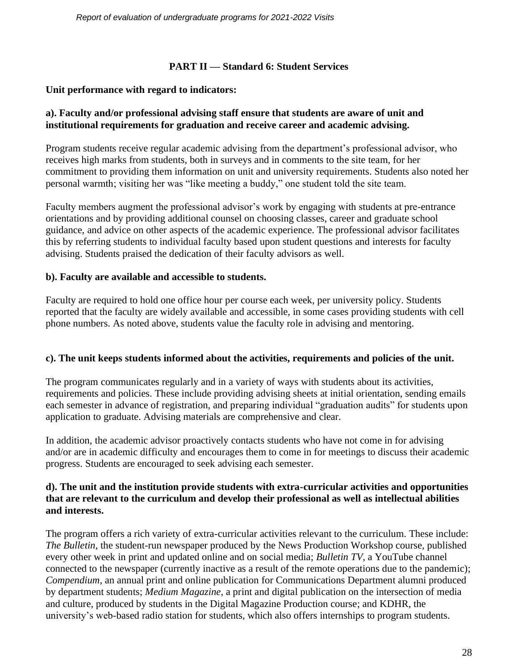## **PART II — Standard 6: Student Services**

## **Unit performance with regard to indicators:**

## **a). Faculty and/or professional advising staff ensure that students are aware of unit and institutional requirements for graduation and receive career and academic advising.**

Program students receive regular academic advising from the department's professional advisor, who receives high marks from students, both in surveys and in comments to the site team, for her commitment to providing them information on unit and university requirements. Students also noted her personal warmth; visiting her was "like meeting a buddy," one student told the site team.

Faculty members augment the professional advisor's work by engaging with students at pre-entrance orientations and by providing additional counsel on choosing classes, career and graduate school guidance, and advice on other aspects of the academic experience. The professional advisor facilitates this by referring students to individual faculty based upon student questions and interests for faculty advising. Students praised the dedication of their faculty advisors as well.

## **b). Faculty are available and accessible to students.**

Faculty are required to hold one office hour per course each week, per university policy. Students reported that the faculty are widely available and accessible, in some cases providing students with cell phone numbers. As noted above, students value the faculty role in advising and mentoring.

#### **c). The unit keeps students informed about the activities, requirements and policies of the unit.**

The program communicates regularly and in a variety of ways with students about its activities, requirements and policies. These include providing advising sheets at initial orientation, sending emails each semester in advance of registration, and preparing individual "graduation audits" for students upon application to graduate. Advising materials are comprehensive and clear.

In addition, the academic advisor proactively contacts students who have not come in for advising and/or are in academic difficulty and encourages them to come in for meetings to discuss their academic progress. Students are encouraged to seek advising each semester.

#### **d). The unit and the institution provide students with extra-curricular activities and opportunities that are relevant to the curriculum and develop their professional as well as intellectual abilities and interests.**

The program offers a rich variety of extra-curricular activities relevant to the curriculum. These include: *The Bulletin*, the student-run newspaper produced by the News Production Workshop course, published every other week in print and updated online and on social media; *Bulletin TV*, a YouTube channel connected to the newspaper (currently inactive as a result of the remote operations due to the pandemic); *Compendium*, an annual print and online publication for Communications Department alumni produced by department students; *Medium Magazine*, a print and digital publication on the intersection of media and culture, produced by students in the Digital Magazine Production course; and KDHR, the university's web-based radio station for students, which also offers internships to program students.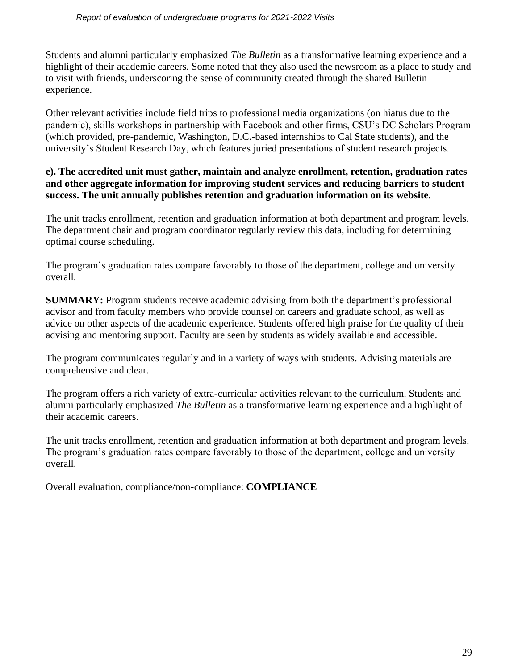Students and alumni particularly emphasized *The Bulletin* as a transformative learning experience and a highlight of their academic careers. Some noted that they also used the newsroom as a place to study and to visit with friends, underscoring the sense of community created through the shared Bulletin experience.

Other relevant activities include field trips to professional media organizations (on hiatus due to the pandemic), skills workshops in partnership with Facebook and other firms, CSU's DC Scholars Program (which provided, pre-pandemic, Washington, D.C.-based internships to Cal State students), and the university's Student Research Day, which features juried presentations of student research projects.

## **e). The accredited unit must gather, maintain and analyze enrollment, retention, graduation rates and other aggregate information for improving student services and reducing barriers to student success. The unit annually publishes retention and graduation information on its website.**

The unit tracks enrollment, retention and graduation information at both department and program levels. The department chair and program coordinator regularly review this data, including for determining optimal course scheduling.

The program's graduation rates compare favorably to those of the department, college and university overall.

**SUMMARY:** Program students receive academic advising from both the department's professional advisor and from faculty members who provide counsel on careers and graduate school, as well as advice on other aspects of the academic experience. Students offered high praise for the quality of their advising and mentoring support. Faculty are seen by students as widely available and accessible.

The program communicates regularly and in a variety of ways with students. Advising materials are comprehensive and clear.

The program offers a rich variety of extra-curricular activities relevant to the curriculum. Students and alumni particularly emphasized *The Bulletin* as a transformative learning experience and a highlight of their academic careers.

The unit tracks enrollment, retention and graduation information at both department and program levels. The program's graduation rates compare favorably to those of the department, college and university overall.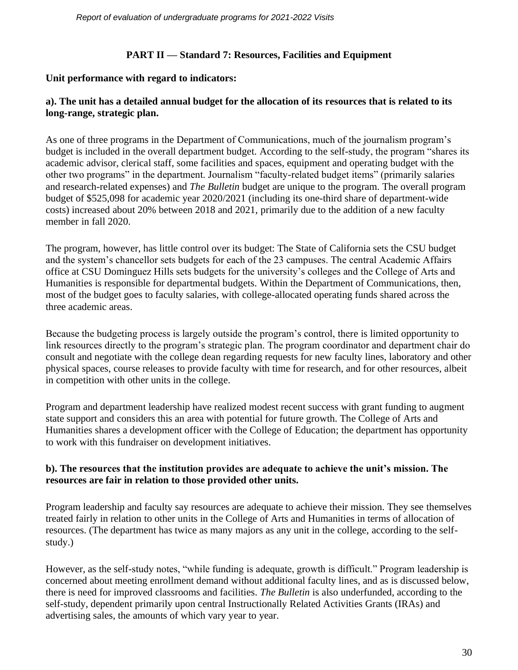#### **PART II — Standard 7: Resources, Facilities and Equipment**

#### **Unit performance with regard to indicators:**

#### **a). The unit has a detailed annual budget for the allocation of its resources that is related to its long-range, strategic plan.**

As one of three programs in the Department of Communications, much of the journalism program's budget is included in the overall department budget. According to the self-study, the program "shares its academic advisor, clerical staff, some facilities and spaces, equipment and operating budget with the other two programs" in the department. Journalism "faculty-related budget items" (primarily salaries and research-related expenses) and *The Bulletin* budget are unique to the program. The overall program budget of \$525,098 for academic year 2020/2021 (including its one-third share of department-wide costs) increased about 20% between 2018 and 2021, primarily due to the addition of a new faculty member in fall 2020.

The program, however, has little control over its budget: The State of California sets the CSU budget and the system's chancellor sets budgets for each of the 23 campuses. The central Academic Affairs office at CSU Dominguez Hills sets budgets for the university's colleges and the College of Arts and Humanities is responsible for departmental budgets. Within the Department of Communications, then, most of the budget goes to faculty salaries, with college-allocated operating funds shared across the three academic areas.

Because the budgeting process is largely outside the program's control, there is limited opportunity to link resources directly to the program's strategic plan. The program coordinator and department chair do consult and negotiate with the college dean regarding requests for new faculty lines, laboratory and other physical spaces, course releases to provide faculty with time for research, and for other resources, albeit in competition with other units in the college.

Program and department leadership have realized modest recent success with grant funding to augment state support and considers this an area with potential for future growth. The College of Arts and Humanities shares a development officer with the College of Education; the department has opportunity to work with this fundraiser on development initiatives.

#### **b). The resources that the institution provides are adequate to achieve the unit's mission. The resources are fair in relation to those provided other units.**

Program leadership and faculty say resources are adequate to achieve their mission. They see themselves treated fairly in relation to other units in the College of Arts and Humanities in terms of allocation of resources. (The department has twice as many majors as any unit in the college, according to the selfstudy.)

However, as the self-study notes, "while funding is adequate, growth is difficult." Program leadership is concerned about meeting enrollment demand without additional faculty lines, and as is discussed below, there is need for improved classrooms and facilities. *The Bulletin* is also underfunded, according to the self-study, dependent primarily upon central Instructionally Related Activities Grants (IRAs) and advertising sales, the amounts of which vary year to year.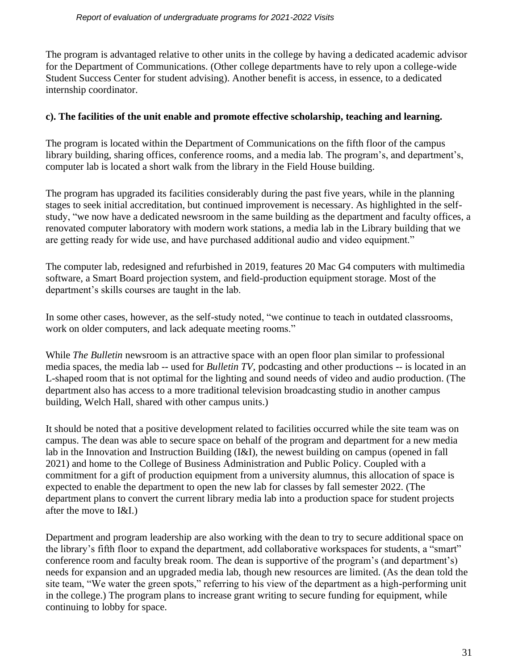The program is advantaged relative to other units in the college by having a dedicated academic advisor for the Department of Communications. (Other college departments have to rely upon a college-wide Student Success Center for student advising). Another benefit is access, in essence, to a dedicated internship coordinator.

#### **c). The facilities of the unit enable and promote effective scholarship, teaching and learning.**

The program is located within the Department of Communications on the fifth floor of the campus library building, sharing offices, conference rooms, and a media lab. The program's, and department's, computer lab is located a short walk from the library in the Field House building.

The program has upgraded its facilities considerably during the past five years, while in the planning stages to seek initial accreditation, but continued improvement is necessary. As highlighted in the selfstudy, "we now have a dedicated newsroom in the same building as the department and faculty offices, a renovated computer laboratory with modern work stations, a media lab in the Library building that we are getting ready for wide use, and have purchased additional audio and video equipment."

The computer lab, redesigned and refurbished in 2019, features 20 Mac G4 computers with multimedia software, a Smart Board projection system, and field-production equipment storage. Most of the department's skills courses are taught in the lab.

In some other cases, however, as the self-study noted, "we continue to teach in outdated classrooms, work on older computers, and lack adequate meeting rooms."

While *The Bulletin* newsroom is an attractive space with an open floor plan similar to professional media spaces, the media lab -- used for *Bulletin TV*, podcasting and other productions -- is located in an L-shaped room that is not optimal for the lighting and sound needs of video and audio production. (The department also has access to a more traditional television broadcasting studio in another campus building, Welch Hall, shared with other campus units.)

It should be noted that a positive development related to facilities occurred while the site team was on campus. The dean was able to secure space on behalf of the program and department for a new media lab in the Innovation and Instruction Building (I&I), the newest building on campus (opened in fall 2021) and home to the College of Business Administration and Public Policy. Coupled with a commitment for a gift of production equipment from a university alumnus, this allocation of space is expected to enable the department to open the new lab for classes by fall semester 2022. (The department plans to convert the current library media lab into a production space for student projects after the move to I&I.)

Department and program leadership are also working with the dean to try to secure additional space on the library's fifth floor to expand the department, add collaborative workspaces for students, a "smart" conference room and faculty break room. The dean is supportive of the program's (and department's) needs for expansion and an upgraded media lab, though new resources are limited. (As the dean told the site team, "We water the green spots," referring to his view of the department as a high-performing unit in the college.) The program plans to increase grant writing to secure funding for equipment, while continuing to lobby for space.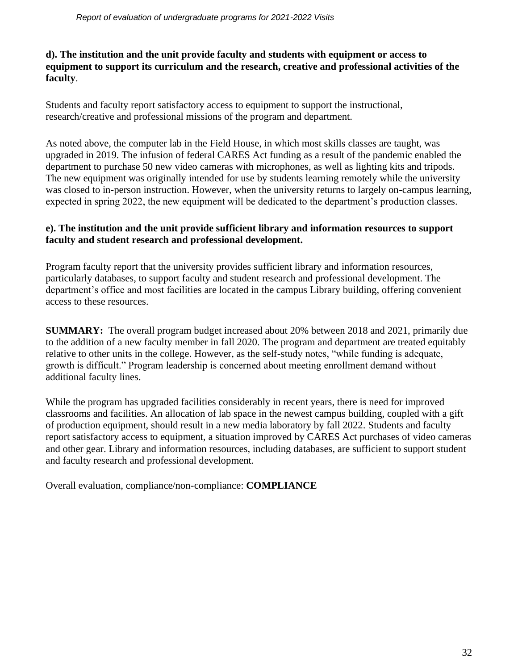## **d). The institution and the unit provide faculty and students with equipment or access to equipment to support its curriculum and the research, creative and professional activities of the faculty**.

Students and faculty report satisfactory access to equipment to support the instructional, research/creative and professional missions of the program and department.

As noted above, the computer lab in the Field House, in which most skills classes are taught, was upgraded in 2019. The infusion of federal CARES Act funding as a result of the pandemic enabled the department to purchase 50 new video cameras with microphones, as well as lighting kits and tripods. The new equipment was originally intended for use by students learning remotely while the university was closed to in-person instruction. However, when the university returns to largely on-campus learning, expected in spring 2022, the new equipment will be dedicated to the department's production classes.

## **e). The institution and the unit provide sufficient library and information resources to support faculty and student research and professional development.**

Program faculty report that the university provides sufficient library and information resources, particularly databases, to support faculty and student research and professional development. The department's office and most facilities are located in the campus Library building, offering convenient access to these resources.

**SUMMARY:** The overall program budget increased about 20% between 2018 and 2021, primarily due to the addition of a new faculty member in fall 2020. The program and department are treated equitably relative to other units in the college. However, as the self-study notes, "while funding is adequate, growth is difficult." Program leadership is concerned about meeting enrollment demand without additional faculty lines.

While the program has upgraded facilities considerably in recent years, there is need for improved classrooms and facilities. An allocation of lab space in the newest campus building, coupled with a gift of production equipment, should result in a new media laboratory by fall 2022. Students and faculty report satisfactory access to equipment, a situation improved by CARES Act purchases of video cameras and other gear. Library and information resources, including databases, are sufficient to support student and faculty research and professional development.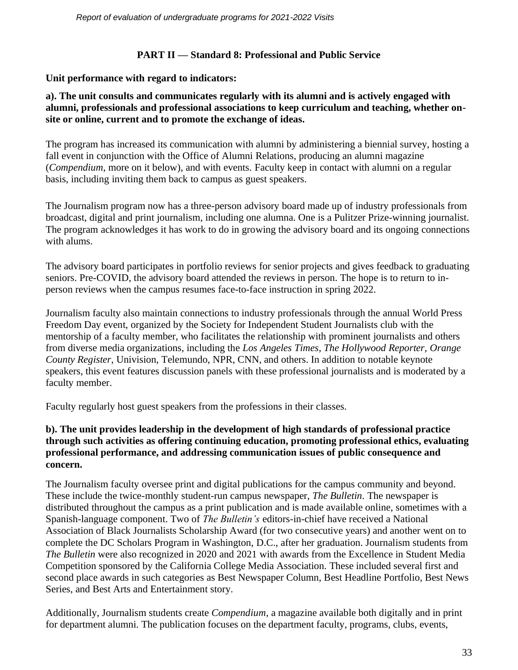## **PART II — Standard 8: Professional and Public Service**

## **Unit performance with regard to indicators:**

#### **a). The unit consults and communicates regularly with its alumni and is actively engaged with alumni, professionals and professional associations to keep curriculum and teaching, whether onsite or online, current and to promote the exchange of ideas.**

The program has increased its communication with alumni by administering a biennial survey, hosting a fall event in conjunction with the Office of Alumni Relations, producing an alumni magazine (*Compendium*, more on it below), and with events. Faculty keep in contact with alumni on a regular basis, including inviting them back to campus as guest speakers.

The Journalism program now has a three-person advisory board made up of industry professionals from broadcast, digital and print journalism, including one alumna. One is a Pulitzer Prize-winning journalist. The program acknowledges it has work to do in growing the advisory board and its ongoing connections with alums.

The advisory board participates in portfolio reviews for senior projects and gives feedback to graduating seniors. Pre-COVID, the advisory board attended the reviews in person. The hope is to return to inperson reviews when the campus resumes face-to-face instruction in spring 2022.

Journalism faculty also maintain connections to industry professionals through the annual World Press Freedom Day event, organized by the Society for Independent Student Journalists club with the mentorship of a faculty member, who facilitates the relationship with prominent journalists and others from diverse media organizations, including the *Los Angeles Times, The Hollywood Reporter, Orange County Register*, Univision, Telemundo, NPR, CNN, and others. In addition to notable keynote speakers, this event features discussion panels with these professional journalists and is moderated by a faculty member.

Faculty regularly host guest speakers from the professions in their classes.

## **b). The unit provides leadership in the development of high standards of professional practice through such activities as offering continuing education, promoting professional ethics, evaluating professional performance, and addressing communication issues of public consequence and concern.**

The Journalism faculty oversee print and digital publications for the campus community and beyond. These include the twice-monthly student-run campus newspaper, *The Bulletin*. The newspaper is distributed throughout the campus as a print publication and is made available online, sometimes with a Spanish-language component. Two of *The Bulletin's* editors-in-chief have received a National Association of Black Journalists Scholarship Award (for two consecutive years) and another went on to complete the DC Scholars Program in Washington, D.C., after her graduation. Journalism students from *The Bulletin* were also recognized in 2020 and 2021 with awards from the Excellence in Student Media Competition sponsored by the California College Media Association. These included several first and second place awards in such categories as Best Newspaper Column, Best Headline Portfolio, Best News Series, and Best Arts and Entertainment story.

Additionally, Journalism students create *Compendium*, a magazine available both digitally and in print for department alumni. The publication focuses on the department faculty, programs, clubs, events,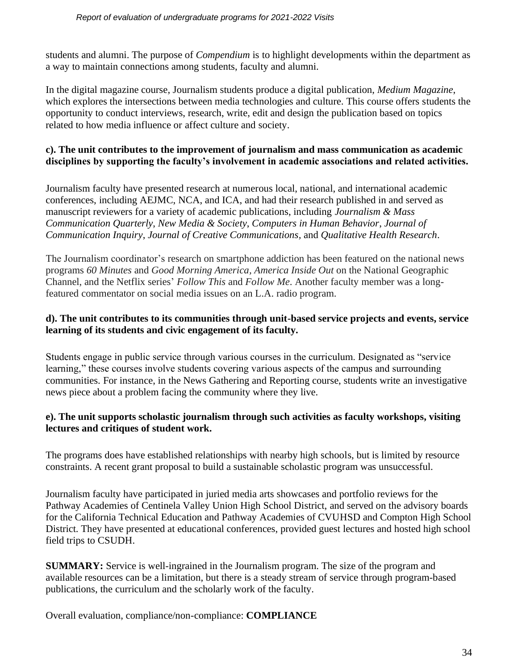students and alumni. The purpose of *Compendium* is to highlight developments within the department as a way to maintain connections among students, faculty and alumni.

In the digital magazine course, Journalism students produce a digital publication, *Medium Magazine*, which explores the intersections between media technologies and culture. This course offers students the opportunity to conduct interviews, research, write, edit and design the publication based on topics related to how media influence or affect culture and society.

## **c). The unit contributes to the improvement of journalism and mass communication as academic disciplines by supporting the faculty's involvement in academic associations and related activities.**

Journalism faculty have presented research at numerous local, national, and international academic conferences, including AEJMC, NCA, and ICA, and had their research published in and served as manuscript reviewers for a variety of academic publications, including *Journalism & Mass Communication Quarterly*, *New Media & Society*, *Computers in Human Behavior*, *Journal of Communication Inquiry*, *Journal of Creative Communications,* and *Qualitative Health Research*.

The Journalism coordinator's research on smartphone addiction has been featured on the national news programs *60 Minutes* and *Good Morning America, America Inside Out* on the National Geographic Channel, and the Netflix series' *Follow This* and *Follow Me*. Another faculty member was a longfeatured commentator on social media issues on an L.A. radio program.

#### **d). The unit contributes to its communities through unit-based service projects and events, service learning of its students and civic engagement of its faculty.**

Students engage in public service through various courses in the curriculum. Designated as "service learning," these courses involve students covering various aspects of the campus and surrounding communities. For instance, in the News Gathering and Reporting course, students write an investigative news piece about a problem facing the community where they live.

#### **e). The unit supports scholastic journalism through such activities as faculty workshops, visiting lectures and critiques of student work.**

The programs does have established relationships with nearby high schools, but is limited by resource constraints. A recent grant proposal to build a sustainable scholastic program was unsuccessful.

Journalism faculty have participated in juried media arts showcases and portfolio reviews for the Pathway Academies of Centinela Valley Union High School District, and served on the advisory boards for the California Technical Education and Pathway Academies of CVUHSD and Compton High School District. They have presented at educational conferences, provided guest lectures and hosted high school field trips to CSUDH.

**SUMMARY:** Service is well-ingrained in the Journalism program. The size of the program and available resources can be a limitation, but there is a steady stream of service through program-based publications, the curriculum and the scholarly work of the faculty.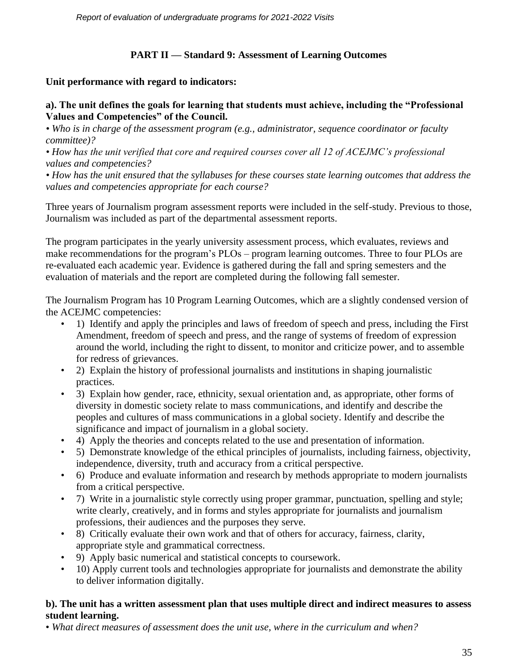# **PART II — Standard 9: Assessment of Learning Outcomes**

## **Unit performance with regard to indicators:**

#### **a). The unit defines the goals for learning that students must achieve, including the "Professional Values and Competencies" of the Council.**

*• Who is in charge of the assessment program (e.g., administrator, sequence coordinator or faculty committee)?*

*• How has the unit verified that core and required courses cover all 12 of ACEJMC's professional values and competencies?*

*• How has the unit ensured that the syllabuses for these courses state learning outcomes that address the values and competencies appropriate for each course?*

Three years of Journalism program assessment reports were included in the self-study. Previous to those, Journalism was included as part of the departmental assessment reports.

The program participates in the yearly university assessment process, which evaluates, reviews and make recommendations for the program's PLOs – program learning outcomes. Three to four PLOs are re-evaluated each academic year. Evidence is gathered during the fall and spring semesters and the evaluation of materials and the report are completed during the following fall semester.

The Journalism Program has 10 Program Learning Outcomes, which are a slightly condensed version of the ACEJMC competencies:

- 1) Identify and apply the principles and laws of freedom of speech and press, including the First Amendment, freedom of speech and press, and the range of systems of freedom of expression around the world, including the right to dissent, to monitor and criticize power, and to assemble for redress of grievances.
- 2) Explain the history of professional journalists and institutions in shaping journalistic practices.
- 3) Explain how gender, race, ethnicity, sexual orientation and, as appropriate, other forms of diversity in domestic society relate to mass communications, and identify and describe the peoples and cultures of mass communications in a global society. Identify and describe the significance and impact of journalism in a global society.
- 4) Apply the theories and concepts related to the use and presentation of information.
- 5) Demonstrate knowledge of the ethical principles of journalists, including fairness, objectivity, independence, diversity, truth and accuracy from a critical perspective.
- 6) Produce and evaluate information and research by methods appropriate to modern journalists from a critical perspective.
- 7) Write in a journalistic style correctly using proper grammar, punctuation, spelling and style; write clearly, creatively, and in forms and styles appropriate for journalists and journalism professions, their audiences and the purposes they serve.
- 8) Critically evaluate their own work and that of others for accuracy, fairness, clarity, appropriate style and grammatical correctness.
- 9) Apply basic numerical and statistical concepts to coursework.
- 10) Apply current tools and technologies appropriate for journalists and demonstrate the ability to deliver information digitally.

#### **b). The unit has a written assessment plan that uses multiple direct and indirect measures to assess student learning.**

• *What direct measures of assessment does the unit use, where in the curriculum and when?*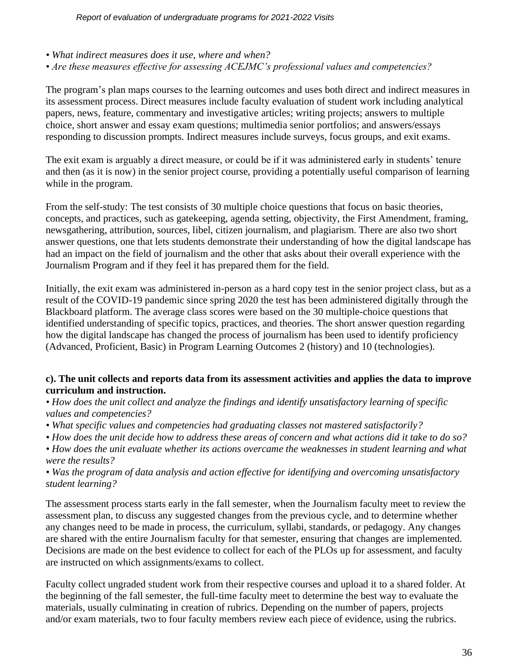- *What indirect measures does it use, where and when?*
- *Are these measures effective for assessing ACEJMC's professional values and competencies?*

The program's plan maps courses to the learning outcomes and uses both direct and indirect measures in its assessment process. Direct measures include faculty evaluation of student work including analytical papers, news, feature, commentary and investigative articles; writing projects; answers to multiple choice, short answer and essay exam questions; multimedia senior portfolios; and answers/essays responding to discussion prompts. Indirect measures include surveys, focus groups, and exit exams.

The exit exam is arguably a direct measure, or could be if it was administered early in students' tenure and then (as it is now) in the senior project course, providing a potentially useful comparison of learning while in the program.

From the self-study: The test consists of 30 multiple choice questions that focus on basic theories, concepts, and practices, such as gatekeeping, agenda setting, objectivity, the First Amendment, framing, newsgathering, attribution, sources, libel, citizen journalism, and plagiarism. There are also two short answer questions, one that lets students demonstrate their understanding of how the digital landscape has had an impact on the field of journalism and the other that asks about their overall experience with the Journalism Program and if they feel it has prepared them for the field.

Initially, the exit exam was administered in-person as a hard copy test in the senior project class, but as a result of the COVID-19 pandemic since spring 2020 the test has been administered digitally through the Blackboard platform. The average class scores were based on the 30 multiple-choice questions that identified understanding of specific topics, practices, and theories. The short answer question regarding how the digital landscape has changed the process of journalism has been used to identify proficiency (Advanced, Proficient, Basic) in Program Learning Outcomes 2 (history) and 10 (technologies).

#### **c). The unit collects and reports data from its assessment activities and applies the data to improve curriculum and instruction.**

*• How does the unit collect and analyze the findings and identify unsatisfactory learning of specific values and competencies?*

- *What specific values and competencies had graduating classes not mastered satisfactorily?*
- *How does the unit decide how to address these areas of concern and what actions did it take to do so?*

*• How does the unit evaluate whether its actions overcame the weaknesses in student learning and what were the results?*

*• Was the program of data analysis and action effective for identifying and overcoming unsatisfactory student learning?* 

The assessment process starts early in the fall semester, when the Journalism faculty meet to review the assessment plan, to discuss any suggested changes from the previous cycle, and to determine whether any changes need to be made in process, the curriculum, syllabi, standards, or pedagogy. Any changes are shared with the entire Journalism faculty for that semester, ensuring that changes are implemented. Decisions are made on the best evidence to collect for each of the PLOs up for assessment, and faculty are instructed on which assignments/exams to collect.

Faculty collect ungraded student work from their respective courses and upload it to a shared folder. At the beginning of the fall semester, the full-time faculty meet to determine the best way to evaluate the materials, usually culminating in creation of rubrics. Depending on the number of papers, projects and/or exam materials, two to four faculty members review each piece of evidence, using the rubrics.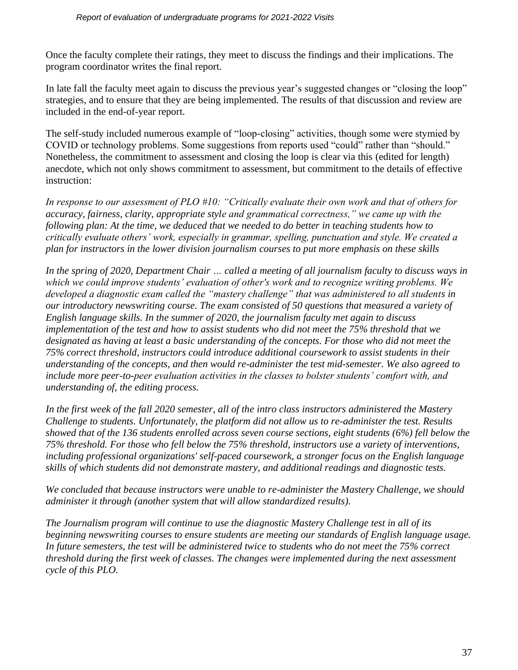Once the faculty complete their ratings, they meet to discuss the findings and their implications. The program coordinator writes the final report.

In late fall the faculty meet again to discuss the previous year's suggested changes or "closing the loop" strategies, and to ensure that they are being implemented. The results of that discussion and review are included in the end-of-year report.

The self-study included numerous example of "loop-closing" activities, though some were stymied by COVID or technology problems. Some suggestions from reports used "could" rather than "should." Nonetheless, the commitment to assessment and closing the loop is clear via this (edited for length) anecdote, which not only shows commitment to assessment, but commitment to the details of effective instruction:

*In response to our assessment of PLO #10: "Critically evaluate their own work and that of others for accuracy, fairness, clarity, appropriate style and grammatical correctness," we came up with the following plan: At the time, we deduced that we needed to do better in teaching students how to critically evaluate others' work, especially in grammar, spelling, punctuation and style. We created a plan for instructors in the lower division journalism courses to put more emphasis on these skills*

*In the spring of 2020, Department Chair … called a meeting of all journalism faculty to discuss ways in which we could improve students' evaluation of other's work and to recognize writing problems. We developed a diagnostic exam called the "mastery challenge" that was administered to all students in our introductory newswriting course. The exam consisted of 50 questions that measured a variety of English language skills. In the summer of 2020, the journalism faculty met again to discuss implementation of the test and how to assist students who did not meet the 75% threshold that we designated as having at least a basic understanding of the concepts. For those who did not meet the 75% correct threshold, instructors could introduce additional coursework to assist students in their understanding of the concepts, and then would re-administer the test mid-semester. We also agreed to include more peer-to-peer evaluation activities in the classes to bolster students' comfort with, and understanding of, the editing process.* 

*In the first week of the fall 2020 semester, all of the intro class instructors administered the Mastery Challenge to students. Unfortunately, the platform did not allow us to re-administer the test. Results showed that of the 136 students enrolled across seven course sections, eight students (6%) fell below the 75% threshold. For those who fell below the 75% threshold, instructors use a variety of interventions, including professional organizations' self-paced coursework, a stronger focus on the English language skills of which students did not demonstrate mastery, and additional readings and diagnostic tests.* 

*We concluded that because instructors were unable to re-administer the Mastery Challenge, we should administer it through (another system that will allow standardized results).*

*The Journalism program will continue to use the diagnostic Mastery Challenge test in all of its beginning newswriting courses to ensure students are meeting our standards of English language usage. In future semesters, the test will be administered twice to students who do not meet the 75% correct threshold during the first week of classes. The changes were implemented during the next assessment cycle of this PLO.*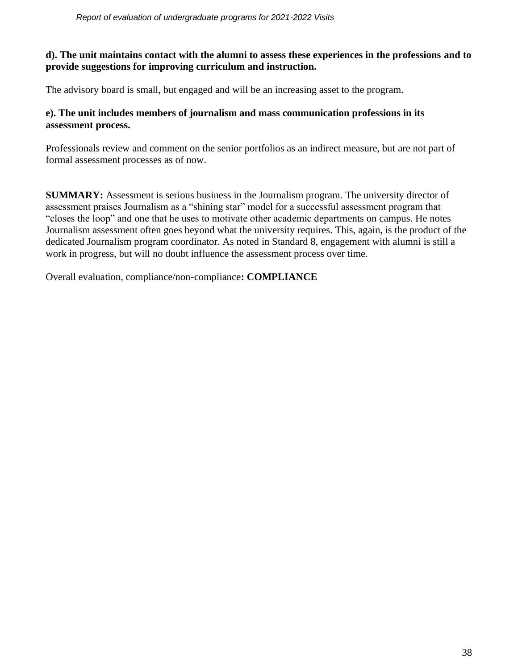#### **d). The unit maintains contact with the alumni to assess these experiences in the professions and to provide suggestions for improving curriculum and instruction.**

The advisory board is small, but engaged and will be an increasing asset to the program.

#### **e). The unit includes members of journalism and mass communication professions in its assessment process.**

Professionals review and comment on the senior portfolios as an indirect measure, but are not part of formal assessment processes as of now.

**SUMMARY:** Assessment is serious business in the Journalism program. The university director of assessment praises Journalism as a "shining star" model for a successful assessment program that "closes the loop" and one that he uses to motivate other academic departments on campus. He notes Journalism assessment often goes beyond what the university requires. This, again, is the product of the dedicated Journalism program coordinator. As noted in Standard 8, engagement with alumni is still a work in progress, but will no doubt influence the assessment process over time.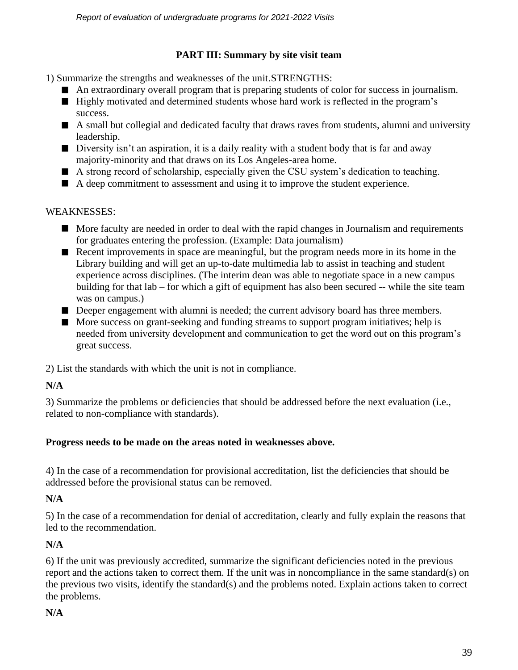# **PART III: Summary by site visit team**

1) Summarize the strengths and weaknesses of the unit.STRENGTHS:

- An extraordinary overall program that is preparing students of color for success in journalism.
- Highly motivated and determined students whose hard work is reflected in the program's success.
- A small but collegial and dedicated faculty that draws raves from students, alumni and university leadership.
- Diversity isn't an aspiration, it is a daily reality with a student body that is far and away majority-minority and that draws on its Los Angeles-area home.
- A strong record of scholarship, especially given the CSU system's dedication to teaching.
- A deep commitment to assessment and using it to improve the student experience.

## WEAKNESSES:

- More faculty are needed in order to deal with the rapid changes in Journalism and requirements for graduates entering the profession. (Example: Data journalism)
- Recent improvements in space are meaningful, but the program needs more in its home in the Library building and will get an up-to-date multimedia lab to assist in teaching and student experience across disciplines. (The interim dean was able to negotiate space in a new campus building for that lab – for which a gift of equipment has also been secured -- while the site team was on campus.)
- Deeper engagement with alumni is needed; the current advisory board has three members.
- More success on grant-seeking and funding streams to support program initiatives; help is needed from university development and communication to get the word out on this program's great success.

2) List the standards with which the unit is not in compliance.

# **N/A**

3) Summarize the problems or deficiencies that should be addressed before the next evaluation (i.e., related to non-compliance with standards).

# **Progress needs to be made on the areas noted in weaknesses above.**

4) In the case of a recommendation for provisional accreditation, list the deficiencies that should be addressed before the provisional status can be removed.

# **N/A**

5) In the case of a recommendation for denial of accreditation, clearly and fully explain the reasons that led to the recommendation.

# **N/A**

6) If the unit was previously accredited, summarize the significant deficiencies noted in the previous report and the actions taken to correct them. If the unit was in noncompliance in the same standard(s) on the previous two visits, identify the standard(s) and the problems noted. Explain actions taken to correct the problems.

# **N/A**